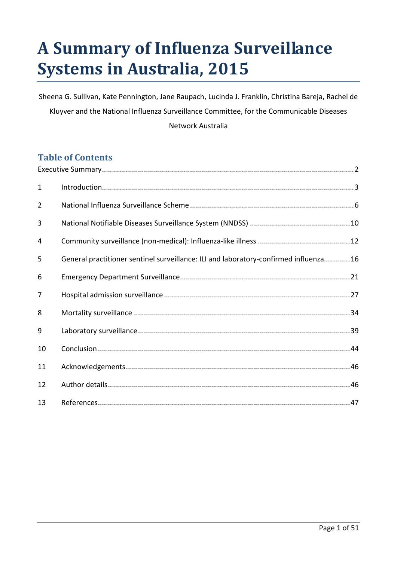# **A Summary of Influenza Surveillance Systems in Australia, 2015**

Sheena G. Sullivan, Kate Pennington, Jane Raupach, Lucinda J. Franklin, Christina Bareja, Rachel de Kluyver and the National Influenza Surveillance Committee, for the Communicable Diseases Network Australia

# **Table of Contents**

| $\mathbf{1}$   |                                                                                      |
|----------------|--------------------------------------------------------------------------------------|
| $\overline{2}$ |                                                                                      |
| 3              |                                                                                      |
| 4              |                                                                                      |
| 5              | General practitioner sentinel surveillance: ILI and laboratory-confirmed influenza16 |
| 6              |                                                                                      |
| $\overline{7}$ |                                                                                      |
| 8              |                                                                                      |
| 9              |                                                                                      |
| 10             |                                                                                      |
| 11             |                                                                                      |
| 12             |                                                                                      |
| 13             |                                                                                      |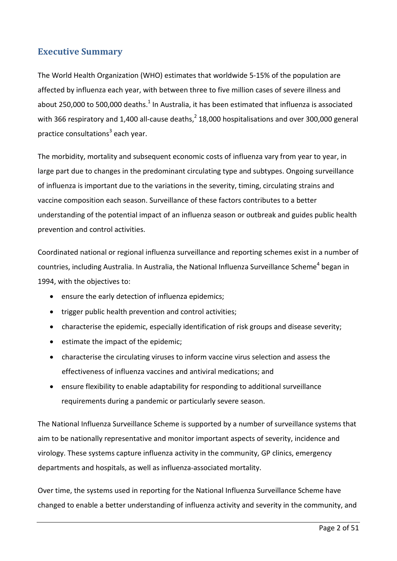## <span id="page-1-0"></span>**Executive Summary**

The World Health Organization (WHO) estimates that worldwide 5-15% of the population are affected by influenza each year, with between three to five million cases of severe illness and about 250,000 to 500,000 deaths[.](#page-46-1) $^1$  In Australia, it has been estimated that influenza is associated with 366 respiratory and 1,400 all-cause deaths,<sup>[2](#page-46-2)</sup> 18,000 hospitalisations and over 300,000 general practice consultations<sup>3</sup> each year.

The morbidity, mortality and subsequent economic costs of influenza vary from year to year, in large part due to changes in the predominant circulating type and subtypes. Ongoing surveillance of influenza is important due to the variations in the severity, timing, circulating strains and vaccine composition each season. Surveillance of these factors contributes to a better understanding of the potential impact of an influenza season or outbreak and guides public health prevention and control activities.

Coordinated national or regional influenza surveillance and reporting schemes exist in a number of countries, including Australia. In Australia, the National Influenza Surveillance Scheme<sup>[4](#page-46-4)</sup> began in 1994, with the objectives to:

- ensure the early detection of influenza epidemics;
- trigger public health prevention and control activities;
- characterise the epidemic, especially identification of risk groups and disease severity;
- estimate the impact of the epidemic;
- characterise the circulating viruses to inform vaccine virus selection and assess the effectiveness of influenza vaccines and antiviral medications; and
- ensure flexibility to enable adaptability for responding to additional surveillance requirements during a pandemic or particularly severe season.

The National Influenza Surveillance Scheme is supported by a number of surveillance systems that aim to be nationally representative and monitor important aspects of severity, incidence and virology. These systems capture influenza activity in the community, GP clinics, emergency departments and hospitals, as well as influenza-associated mortality.

Over time, the systems used in reporting for the National Influenza Surveillance Scheme have changed to enable a better understanding of influenza activity and severity in the community, and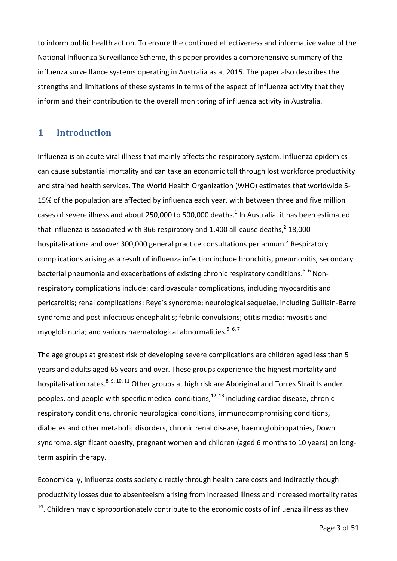to inform public health action. To ensure the continued effectiveness and informative value of the National Influenza Surveillance Scheme, this paper provides a comprehensive summary of the influenza surveillance systems operating in Australia as at 2015. The paper also describes the strengths and limitations of these systems in terms of the aspect of influenza activity that they inform and their contribution to the overall monitoring of influenza activity in Australia.

#### <span id="page-2-0"></span>**1 Introduction**

Influenza is an acute viral illness that mainly affects the respiratory system. Influenza epidemics can cause substantial mortality and can take an economic toll through lost workforce productivity and strained health services. The World Health Organization (WHO) estimates that worldwide 5- 15% of the population are affected by influenza each year, with between three and five million cases of severe illness and about 250,000 to 500,000 deaths.<sup>[1](#page-46-1)</sup> In Australia, it has been estimated that influenza is associated with 366 respiratory and 1,400 all-cause deaths,<sup>[2](#page-46-2)</sup> 18,000 hospitalisations and over [3](#page-46-3)00,000 general practice consultations per annum.<sup>3</sup> Respiratory complications arising as a result of influenza infection include bronchitis, pneumonitis, secondary bacterial pneumonia and exacerbations of existing chronic respiratory conditions.<sup>[5,](#page-46-5) [6](#page-46-6)</sup> Nonrespiratory complications include: cardiovascular complications, including myocarditis and pericarditis; renal complications; Reye's syndrome; neurological sequelae, including Guillain-Barre syndrome and post infectious encephalitis; febrile convulsions; otitis media; myositis and myoglobinuria; and various haematological abnormalities.<sup>[5,](#page-46-5) [6,](#page-46-6) [7](#page-46-7)</sup>

The age groups at greatest risk of developing severe complications are children aged less than 5 years and adults aged 65 years and over. These groups experience the highest mortality and hospitalisation rates.<sup>[8,](#page-46-8) [9,](#page-46-9) [10,](#page-46-10) [11](#page-46-11)</sup> Other groups at high risk are Aboriginal and Torres Strait Islander peoples, and people with specific medical conditions,<sup>[12,](#page-47-0)13</sup> including cardiac disease, chronic respiratory conditions, chronic neurological conditions, immunocompromising conditions, diabetes and other metabolic disorders, chronic renal disease, haemoglobinopathies, Down syndrome, significant obesity, pregnant women and children (aged 6 months to 10 years) on longterm aspirin therapy.

Economically, influenza costs society directly through health care costs and indirectly though productivity losses due to absenteeism arising from increased illness and increased mortality rates  $14$ . Children may disproportionately contribute to the economic costs of influenza illness as they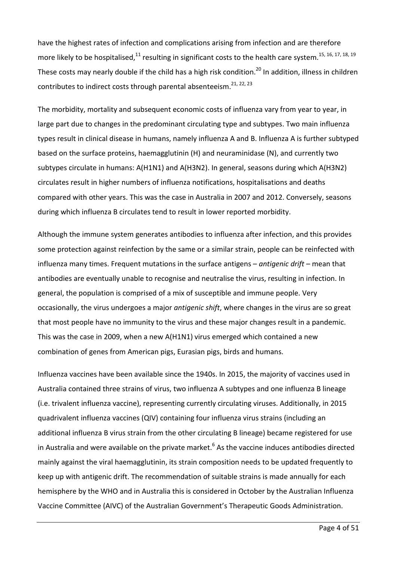have the highest rates of infection and complications arising from infection and are therefore more likely to be hospitalised,  $^{11}$  $^{11}$  $^{11}$  resulting in significant costs to the health care system.  $^{15, 16, 17, 18, 19}$  $^{15, 16, 17, 18, 19}$  $^{15, 16, 17, 18, 19}$  $^{15, 16, 17, 18, 19}$  $^{15, 16, 17, 18, 19}$  $^{15, 16, 17, 18, 19}$  $^{15, 16, 17, 18, 19}$ These costs may nearly double if the child has a high risk condition.<sup>[20](#page-47-8)</sup> In addition, illness in children contributes to indirect costs through parental absenteeism.<sup>[21,](#page-47-9) [22,](#page-47-10) [23](#page-47-11)</sup>

The morbidity, mortality and subsequent economic costs of influenza vary from year to year, in large part due to changes in the predominant circulating type and subtypes. Two main influenza types result in clinical disease in humans, namely influenza A and B. Influenza A is further subtyped based on the surface proteins, haemagglutinin (H) and neuraminidase (N), and currently two subtypes circulate in humans: A(H1N1) and A(H3N2). In general, seasons during which A(H3N2) circulates result in higher numbers of influenza notifications, hospitalisations and deaths compared with other years. This was the case in Australia in 2007 and 2012. Conversely, seasons during which influenza B circulates tend to result in lower reported morbidity.

Although the immune system generates antibodies to influenza after infection, and this provides some protection against reinfection by the same or a similar strain, people can be reinfected with influenza many times. Frequent mutations in the surface antigens – *antigenic drift* – mean that antibodies are eventually unable to recognise and neutralise the virus, resulting in infection. In general, the population is comprised of a mix of susceptible and immune people. Very occasionally, the virus undergoes a major *antigenic shift*, where changes in the virus are so great that most people have no immunity to the virus and these major changes result in a pandemic. This was the case in 2009, when a new A(H1N1) virus emerged which contained a new combination of genes from American pigs, Eurasian pigs, birds and humans.

Influenza vaccines have been available since the 1940s. In 2015, the majority of vaccines used in Australia contained three strains of virus, two influenza A subtypes and one influenza B lineage (i.e. trivalent influenza vaccine), representing currently circulating viruses. Additionally, in 2015 quadrivalent influenza vaccines (QIV) containing four influenza virus strains (including an additional influenza B virus strain from the other circulating B lineage) became registered for use in Australia and were available on the private market.<sup>[6](#page-46-6)</sup> As the vaccine induces antibodies directed mainly against the viral haemagglutinin, its strain composition needs to be updated frequently to keep up with antigenic drift. The recommendation of suitable strains is made annually for each hemisphere by the WHO and in Australia this is considered in October by the Australian Influenza Vaccine Committee (AIVC) of the Australian Government's Therapeutic Goods Administration.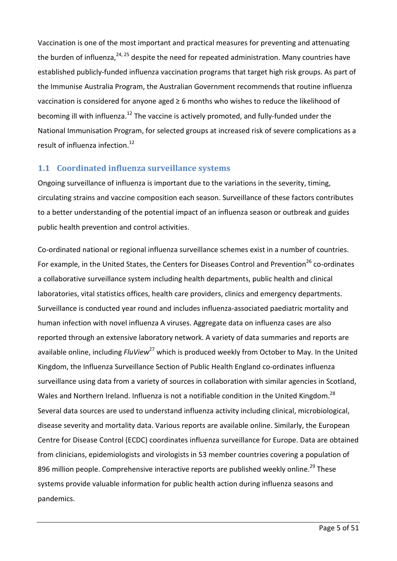Vaccination is one of the most important and practical measures for preventing and attenuating the burden of influenza,<sup>[24,](#page-47-12) [25](#page-47-13)</sup> despite the need for repeated administration. Many countries have established publicly-funded influenza vaccination programs that target high risk groups. As part of the Immunise Australia Program, the Australian Government recommends that routine influenza vaccination is considered for anyone aged ≥ 6 months who wishes to reduce the likelihood of becoming ill with influenza.<sup>[12](#page-47-0)</sup> The vaccine is actively promoted, and fully-funded under the National Immunisation Program, for selected groups at increased risk of severe complications as a result of influenza infection. [12](#page-47-0)

#### **1.1 Coordinated influenza surveillance systems**

Ongoing surveillance of influenza is important due to the variations in the severity, timing, circulating strains and vaccine composition each season. Surveillance of these factors contributes to a better understanding of the potential impact of an influenza season or outbreak and guides public health prevention and control activities.

Co-ordinated national or regional influenza surveillance schemes exist in a number of countries. For example, in the United States, the Centers for Diseases Control and Prevention<sup>[26](#page-47-14)</sup> co-ordinates a collaborative surveillance system including health departments, public health and clinical laboratories, vital statistics offices, health care providers, clinics and emergency departments. Surveillance is conducted year round and includes influenza-associated paediatric mortality and human infection with novel influenza A viruses. Aggregate data on influenza cases are also reported through an extensive laboratory network. A variety of data summaries and reports are available online, including *FluView*<sup>[27](#page-47-15)</sup> which is produced weekly from October to May. In the United Kingdom, the Influenza Surveillance Section of Public Health England co-ordinates influenza surveillance using data from a variety of sources in collaboration with similar agencies in Scotland, Wales and Northern Ireland. Influenza is not a notifiable condition in the United Kingdom.<sup>[28](#page-47-16)</sup> Several data sources are used to understand influenza activity including clinical, microbiological, disease severity and mortality data. Various reports are available online. Similarly, the European Centre for Disease Control (ECDC) coordinates influenza surveillance for Europe. Data are obtained from clinicians, epidemiologists and virologists in 53 member countries covering a population of 896 million people. Comprehensive interactive reports are published weekly online.<sup>[29](#page-48-0)</sup> These systems provide valuable information for public health action during influenza seasons and pandemics.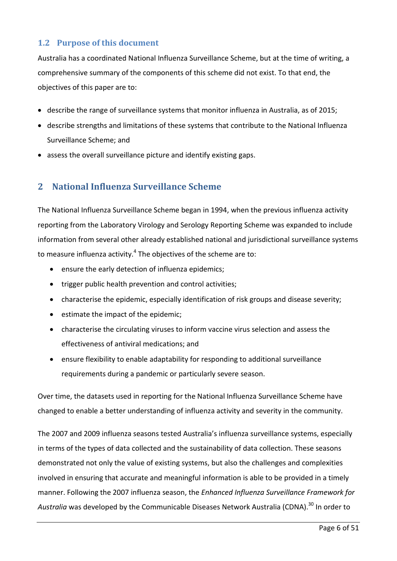#### **1.2 Purpose of this document**

Australia has a coordinated National Influenza Surveillance Scheme, but at the time of writing, a comprehensive summary of the components of this scheme did not exist. To that end, the objectives of this paper are to:

- describe the range of surveillance systems that monitor influenza in Australia, as of 2015;
- describe strengths and limitations of these systems that contribute to the National Influenza Surveillance Scheme; and
- <span id="page-5-0"></span>• assess the overall surveillance picture and identify existing gaps.

# **2 National Influenza Surveillance Scheme**

The National Influenza Surveillance Scheme began in 1994, when the previous influenza activity reporting from the Laboratory Virology and Serology Reporting Scheme was expanded to include information from several other already established national and jurisdictional surveillance systems to measure influenza activity.<sup>4</sup> The objectives of the scheme are to:

- ensure the early detection of influenza epidemics;
- trigger public health prevention and control activities;
- characterise the epidemic, especially identification of risk groups and disease severity;
- estimate the impact of the epidemic;
- characterise the circulating viruses to inform vaccine virus selection and assess the effectiveness of antiviral medications; and
- ensure flexibility to enable adaptability for responding to additional surveillance requirements during a pandemic or particularly severe season.

Over time, the datasets used in reporting for the National Influenza Surveillance Scheme have changed to enable a better understanding of influenza activity and severity in the community.

The 2007 and 2009 influenza seasons tested Australia's influenza surveillance systems, especially in terms of the types of data collected and the sustainability of data collection. These seasons demonstrated not only the value of existing systems, but also the challenges and complexities involved in ensuring that accurate and meaningful information is able to be provided in a timely manner. Following the 2007 influenza season, the *Enhanced Influenza Surveillance Framework for Australia* was developed by the Communicable Diseases Network Australia (CDNA). [30](#page-48-1) In order to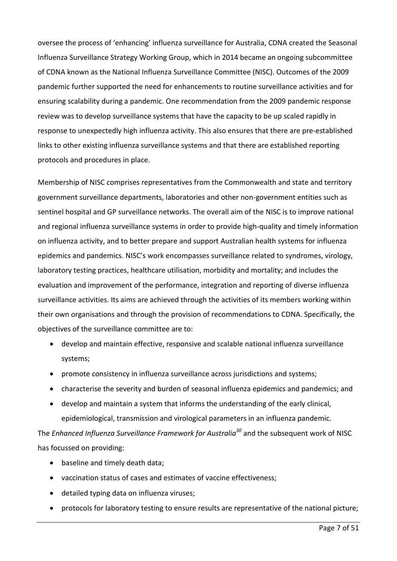oversee the process of 'enhancing' influenza surveillance for Australia, CDNA created the Seasonal Influenza Surveillance Strategy Working Group, which in 2014 became an ongoing subcommittee of CDNA known as the National Influenza Surveillance Committee (NISC). Outcomes of the 2009 pandemic further supported the need for enhancements to routine surveillance activities and for ensuring scalability during a pandemic. One recommendation from the 2009 pandemic response review was to develop surveillance systems that have the capacity to be up scaled rapidly in response to unexpectedly high influenza activity. This also ensures that there are pre-established links to other existing influenza surveillance systems and that there are established reporting protocols and procedures in place.

Membership of NISC comprises representatives from the Commonwealth and state and territory government surveillance departments, laboratories and other non-government entities such as sentinel hospital and GP surveillance networks. The overall aim of the NISC is to improve national and regional influenza surveillance systems in order to provide high-quality and timely information on influenza activity, and to better prepare and support Australian health systems for influenza epidemics and pandemics. NISC's work encompasses surveillance related to syndromes, virology, laboratory testing practices, healthcare utilisation, morbidity and mortality; and includes the evaluation and improvement of the performance, integration and reporting of diverse influenza surveillance activities. Its aims are achieved through the activities of its members working within their own organisations and through the provision of recommendations to CDNA. Specifically, the objectives of the surveillance committee are to:

- develop and maintain effective, responsive and scalable national influenza surveillance systems;
- promote consistency in influenza surveillance across jurisdictions and systems;
- characterise the severity and burden of seasonal influenza epidemics and pandemics; and
- develop and maintain a system that informs the understanding of the early clinical, epidemiological, transmission and virological parameters in an influenza pandemic.

The *Enhanced Influenza Surveillance Framework for Australia<sup>30</sup> and the subsequent work of NISC* has focussed on providing:

- baseline and timely death data;
- vaccination status of cases and estimates of vaccine effectiveness;
- detailed typing data on influenza viruses;
- protocols for laboratory testing to ensure results are representative of the national picture;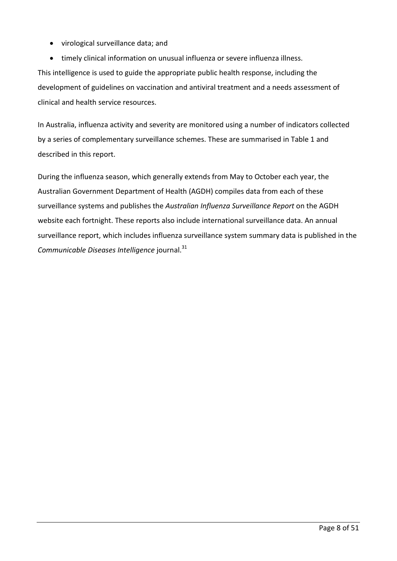- virological surveillance data; and
- timely clinical information on unusual influenza or severe influenza illness.

This intelligence is used to guide the appropriate public health response, including the development of guidelines on vaccination and antiviral treatment and a needs assessment of clinical and health service resources.

In Australia, influenza activity and severity are monitored using a number of indicators collected by a series of complementary surveillance schemes. These are summarised in [Table 1](#page-8-0) and described in this report.

During the influenza season, which generally extends from May to October each year, the Australian Government Department of Health (AGDH) compiles data from each of these surveillance systems and publishes the *Australian Influenza Surveillance Report* on the AGDH website each fortnight. These reports also include international surveillance data. An annual surveillance report, which includes influenza surveillance system summary data is published in the *Communicable Diseases Intelligence* journal. [31](#page-48-2)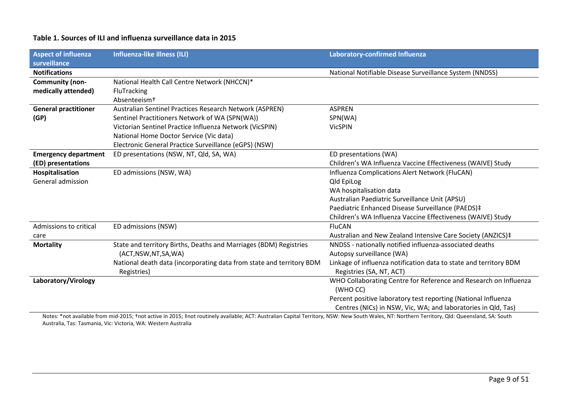#### **Table 1. Sources of ILI and influenza surveillance data in 2015**

| <b>Aspect of influenza</b>  | <b>Influenza-like illness (ILI)</b>                                  | Laboratory-confirmed Influenza                                    |  |  |
|-----------------------------|----------------------------------------------------------------------|-------------------------------------------------------------------|--|--|
| surveillance                |                                                                      |                                                                   |  |  |
| <b>Notifications</b>        |                                                                      | National Notifiable Disease Surveillance System (NNDSS)           |  |  |
| Community (non-             | National Health Call Centre Network (NHCCN)*                         |                                                                   |  |  |
| medically attended)         | FluTracking                                                          |                                                                   |  |  |
|                             | Absenteeismt                                                         |                                                                   |  |  |
| <b>General practitioner</b> | Australian Sentinel Practices Research Network (ASPREN)              | <b>ASPREN</b>                                                     |  |  |
| (GP)                        | Sentinel Practitioners Network of WA (SPN(WA))                       | SPN(WA)                                                           |  |  |
|                             | Victorian Sentinel Practice Influenza Network (VicSPIN)              | <b>VicSPIN</b>                                                    |  |  |
|                             | National Home Doctor Service (Vic data)                              |                                                                   |  |  |
|                             | Electronic General Practice Surveillance (eGPS) (NSW)                |                                                                   |  |  |
| <b>Emergency department</b> | ED presentations (NSW, NT, Qld, SA, WA)                              | ED presentations (WA)                                             |  |  |
| (ED) presentations          |                                                                      | Children's WA Influenza Vaccine Effectiveness (WAIVE) Study       |  |  |
| Hospitalisation             | ED admissions (NSW, WA)                                              | Influenza Complications Alert Network (FluCAN)                    |  |  |
| General admission           |                                                                      | <b>Qld EpiLog</b>                                                 |  |  |
|                             |                                                                      | WA hospitalisation data                                           |  |  |
|                             |                                                                      | Australian Paediatric Surveillance Unit (APSU)                    |  |  |
|                             |                                                                      | Paediatric Enhanced Disease Surveillance (PAEDS)#                 |  |  |
|                             |                                                                      | Children's WA Influenza Vaccine Effectiveness (WAIVE) Study       |  |  |
| Admissions to critical      | ED admissions (NSW)                                                  | <b>FluCAN</b>                                                     |  |  |
| care                        |                                                                      | Australian and New Zealand Intensive Care Society (ANZICS)#       |  |  |
| <b>Mortality</b>            | State and territory Births, Deaths and Marriages (BDM) Registries    | NNDSS - nationally notified influenza-associated deaths           |  |  |
|                             | (ACT, NSW, NT, SA, WA)                                               | Autopsy surveillance (WA)                                         |  |  |
|                             | National death data (incorporating data from state and territory BDM | Linkage of influenza notification data to state and territory BDM |  |  |
|                             | Registries)                                                          | Registries (SA, NT, ACT)                                          |  |  |
| Laboratory/Virology         |                                                                      | WHO Collaborating Centre for Reference and Research on Influenza  |  |  |
|                             |                                                                      | (WHO CC)                                                          |  |  |
|                             |                                                                      | Percent positive laboratory test reporting (National Influenza    |  |  |
|                             |                                                                      | Centres (NICs) in NSW, Vic, WA; and laboratories in Qld, Tas)     |  |  |

<span id="page-8-0"></span>Notes: \*not available from mid-2015; †not active in 2015; ‡not routinely available; ACT: Australian Capital Territory, NSW: New South Wales, NT: Northern Territory, Qld: Queensland, SA: South Australia, Tas: Tasmania, Vic: Victoria, WA: Western Australia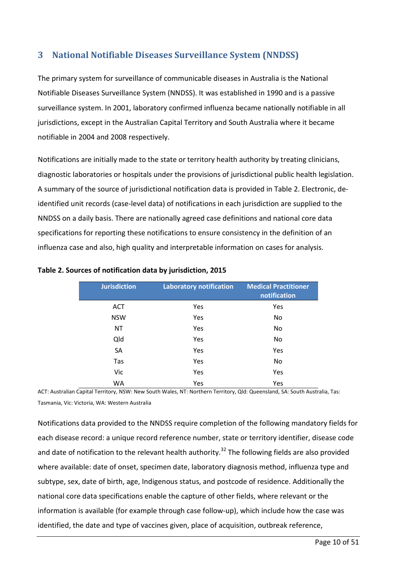# <span id="page-9-0"></span>**3 National Notifiable Diseases Surveillance System (NNDSS)**

The primary system for surveillance of communicable diseases in Australia is the National Notifiable Diseases Surveillance System (NNDSS). It was established in 1990 and is a passive surveillance system. In 2001, laboratory confirmed influenza became nationally notifiable in all jurisdictions, except in the Australian Capital Territory and South Australia where it became notifiable in 2004 and 2008 respectively.

Notifications are initially made to the state or territory health authority by treating clinicians, diagnostic laboratories or hospitals under the provisions of jurisdictional public health legislation. A summary of the source of jurisdictional notification data is provided in [Table 2.](#page-9-1) Electronic, deidentified unit records (case-level data) of notifications in each jurisdiction are supplied to the NNDSS on a daily basis. There are nationally agreed case definitions and national core data specifications for reporting these notifications to ensure consistency in the definition of an influenza case and also, high quality and interpretable information on cases for analysis.

| <b>Jurisdiction</b> | <b>Laboratory notification</b> | <b>Medical Practitioner</b><br>notification |
|---------------------|--------------------------------|---------------------------------------------|
| <b>ACT</b>          | Yes                            | Yes                                         |
| <b>NSW</b>          | Yes                            | No                                          |
| <b>NT</b>           | Yes                            | No                                          |
| Qld                 | Yes                            | No                                          |
| SA                  | Yes                            | Yes                                         |
| Tas                 | Yes                            | No                                          |
| Vic                 | Yes                            | Yes                                         |
| WA                  | Yes                            | Yes                                         |

#### <span id="page-9-1"></span>**Table 2. Sources of notification data by jurisdiction, 2015**

ACT: Australian Capital Territory, NSW: New South Wales, NT: Northern Territory, Qld: Queensland, SA: South Australia, Tas: Tasmania, Vic: Victoria, WA: Western Australia

Notifications data provided to the NNDSS require completion of the following mandatory fields for each disease record: a unique record reference number, state or territory identifier, disease code and date of notification to the relevant health authority.<sup>[32](#page-48-3)</sup> The following fields are also provided where available: date of onset, specimen date, laboratory diagnosis method, influenza type and subtype, sex, date of birth, age, Indigenous status, and postcode of residence. Additionally the national core data specifications enable the capture of other fields, where relevant or the information is available (for example through case follow-up), which include how the case was identified, the date and type of vaccines given, place of acquisition, outbreak reference,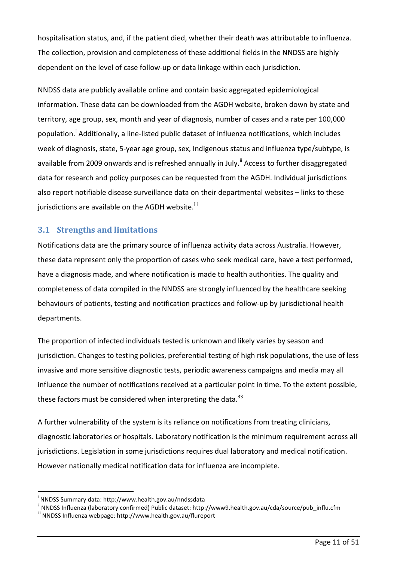hospitalisation status, and, if the patient died, whether their death was attributable to influenza. The collection, provision and completeness of these additional fields in the NNDSS are highly dependent on the level of case follow-up or data linkage within each jurisdiction.

NNDSS data are publicly available online and contain basic aggregated epidemiological information. These data can be downloaded from the AGDH website, broken down by state and territory, age group, sex, month and year of diagnosis, number of cases and a rate per 100,000 populat[i](#page-10-0)on.<sup>i</sup> Additionally, a line-listed public dataset of influenza notifications, which includes week of diagnosis, state, 5-year age group, sex, Indigenous status and influenza type/subtype, is available from 2009 onwards and is refreshed annually in July.<sup>[ii](#page-10-1)</sup> Access to further disaggregated data for research and policy purposes can be requested from the AGDH. Individual jurisdictions also report notifiable disease surveillance data on their departmental websites – links to these jurisdictions are available on the AGDH website. $^{\text{iii}}$  $^{\text{iii}}$  $^{\text{iii}}$ 

#### **3.1 Strengths and limitations**

Notifications data are the primary source of influenza activity data across Australia. However, these data represent only the proportion of cases who seek medical care, have a test performed, have a diagnosis made, and where notification is made to health authorities. The quality and completeness of data compiled in the NNDSS are strongly influenced by the healthcare seeking behaviours of patients, testing and notification practices and follow-up by jurisdictional health departments.

The proportion of infected individuals tested is unknown and likely varies by season and jurisdiction. Changes to testing policies, preferential testing of high risk populations, the use of less invasive and more sensitive diagnostic tests, periodic awareness campaigns and media may all influence the number of notifications received at a particular point in time. To the extent possible, these factors must be considered when interpreting the data.<sup>[33](#page-48-4)</sup>

A further vulnerability of the system is its reliance on notifications from treating clinicians, diagnostic laboratories or hospitals. Laboratory notification is the minimum requirement across all jurisdictions. Legislation in some jurisdictions requires dual laboratory and medical notification. However nationally medical notification data for influenza are incomplete.

-

<span id="page-10-0"></span><sup>&</sup>lt;sup>i</sup> NNDSS Summary data: http://www.health.gov.au/nndssdata

<span id="page-10-1"></span><sup>&</sup>quot; NNDSS Influenza (laboratory confirmed) Public dataset: http://www9.health.gov.au/cda/source/pub\_influ.cfm<br>"" NNDSS Influenza webpage: http://www.health.gov.au/flureport

<span id="page-10-2"></span>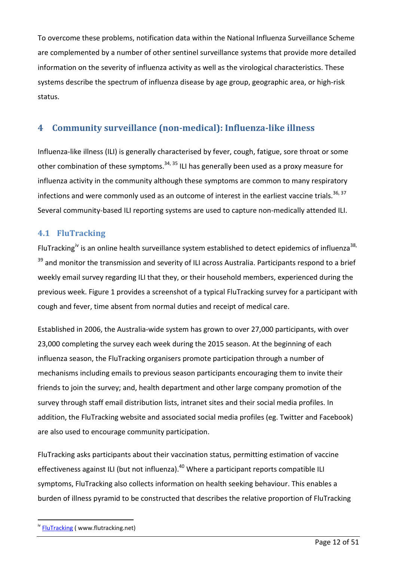To overcome these problems, notification data within the National Influenza Surveillance Scheme are complemented by a number of other sentinel surveillance systems that provide more detailed information on the severity of influenza activity as well as the virological characteristics. These systems describe the spectrum of influenza disease by age group, geographic area, or high-risk status.

# <span id="page-11-0"></span>**4 Community surveillance (non-medical): Influenza-like illness**

Influenza-like illness (ILI) is generally characterised by fever, cough, fatigue, sore throat or some other combination of these symptoms.<sup>[34,](#page-48-5) [35](#page-48-6)</sup> ILI has generally been used as a proxy measure for influenza activity in the community although these symptoms are common to many respiratory infections and were commonly used as an outcome of interest in the earliest vaccine trials.<sup>[36,](#page-48-7) [37](#page-48-8)</sup> Several community-based ILI reporting systems are used to capture non-medically attended ILI.

#### **4.1 FluTracking**

FluTracking<sup>[iv](#page-11-1)</sup> is an online health surveillance system established to detect epidemics of influenza<sup>38,</sup> <sup>[39](#page-48-10)</sup> and monitor the transmission and severity of ILI across Australia. Participants respond to a brief weekly email survey regarding ILI that they, or their household members, experienced during the previous week. [Figure 1](#page-12-0) provides a screenshot of a typical FluTracking survey for a participant with cough and fever, time absent from normal duties and receipt of medical care.

Established in 2006, the Australia-wide system has grown to over 27,000 participants, with over 23,000 completing the survey each week during the 2015 season. At the beginning of each influenza season, the FluTracking organisers promote participation through a number of mechanisms including emails to previous season participants encouraging them to invite their friends to join the survey; and, health department and other large company promotion of the survey through staff email distribution lists, intranet sites and their social media profiles. In addition, the FluTracking website and associated social media profiles (eg. Twitter and Facebook) are also used to encourage community participation.

FluTracking asks participants about their vaccination status, permitting estimation of vaccine effectiveness against ILI (but not influenza).<sup>[40](#page-48-11)</sup> Where a participant reports compatible ILI symptoms, FluTracking also collects information on health seeking behaviour. This enables a burden of illness pyramid to be constructed that describes the relative proportion of FluTracking

-

<span id="page-11-1"></span><sup>&</sup>lt;sup>iv</sup> [FluTracking](http://www.flutracking.net/) ( www.flutracking.net)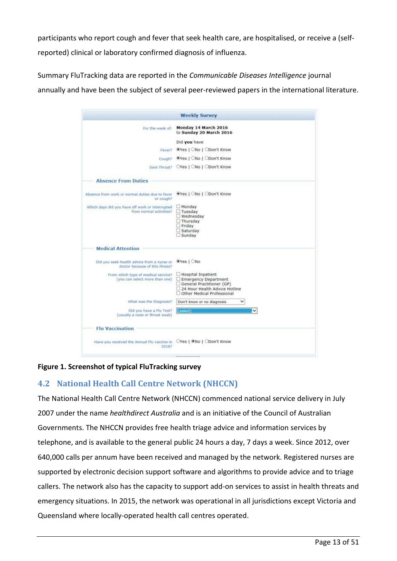participants who report cough and fever that seek health care, are hospitalised, or receive a (selfreported) clinical or laboratory confirmed diagnosis of influenza.

Summary FluTracking data are reported in the *Communicable Diseases Intelligence* journal annually and have been the subject of several peer-reviewed papers in the international literature.

|                                                                                      | <b>Weekly Survey</b>                                                                                                                   |
|--------------------------------------------------------------------------------------|----------------------------------------------------------------------------------------------------------------------------------------|
| For the week of:                                                                     | Monday 14 March 2016<br>to Sunday 20 March 2016                                                                                        |
|                                                                                      | Did you have                                                                                                                           |
|                                                                                      | Fever? @Yes   ONo   ODon't Know                                                                                                        |
|                                                                                      | Cough? Wes   ONo   ODon't Know                                                                                                         |
|                                                                                      | Sore Throat? OYes   ONo   ODon't Know                                                                                                  |
| <b>Absence From Duties</b>                                                           |                                                                                                                                        |
| Absence from work or normal duties due to fever Wes   ONo   ODon't Know<br>or cough? |                                                                                                                                        |
| Which days did you have off work or interrupted<br>from normal activities?           | $\Box$ Monday<br>Tuesday<br>Wednesday<br>$\Box$ Thursday<br>$\Box$ Friday<br>Saturday<br>$\Box$ Sunday                                 |
| <b>Medical Attention</b>                                                             |                                                                                                                                        |
| Did you seek health advice from a nurse or<br>doctor because of this illness?        | OYes   ONo                                                                                                                             |
| From which type of medical service?<br>(you can select more than one)                | Hospital Inpatient<br>Emergency Department<br>General Practitioner (GP)<br>24 Hour Health Advice Hotline<br>Other Medical Professional |
| What was the Diagnosis?                                                              | v<br>Don't know or no diagnosis                                                                                                        |
| Did you have a Flu Test?<br>(usually a nose or throat swab)                          | (select)                                                                                                                               |
| <b>Flu Vaccination</b>                                                               |                                                                                                                                        |
| Have you received the Annual Flu vaccine in OYes   CNo   ODon't Know<br>2016?        |                                                                                                                                        |
|                                                                                      |                                                                                                                                        |

#### <span id="page-12-0"></span>**Figure 1. Screenshot of typical FluTracking survey**

#### **4.2 National Health Call Centre Network (NHCCN)**

The National Health Call Centre Network (NHCCN) commenced national service delivery in July 2007 under the name *healthdirect Australia* and is an initiative of the Council of Australian Governments. The NHCCN provides free health triage advice and information services by telephone, and is available to the general public 24 hours a day, 7 days a week. Since 2012, over 640,000 calls per annum have been received and managed by the network. Registered nurses are supported by electronic decision support software and algorithms to provide advice and to triage callers. The network also has the capacity to support add-on services to assist in health threats and emergency situations. In 2015, the network was operational in all jurisdictions except Victoria and Queensland where locally-operated health call centres operated.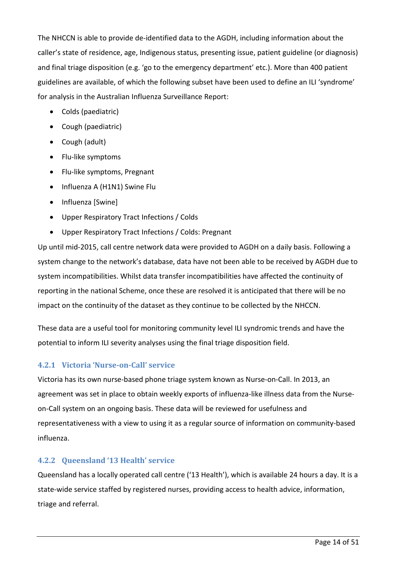The NHCCN is able to provide de-identified data to the AGDH, including information about the caller's state of residence, age, Indigenous status, presenting issue, patient guideline (or diagnosis) and final triage disposition (e.g. 'go to the emergency department' etc.). More than 400 patient guidelines are available, of which the following subset have been used to define an ILI 'syndrome' for analysis in the Australian Influenza Surveillance Report:

- Colds (paediatric)
- Cough (paediatric)
- Cough (adult)
- Flu-like symptoms
- Flu-like symptoms, Pregnant
- Influenza A (H1N1) Swine Flu
- Influenza [Swine]
- Upper Respiratory Tract Infections / Colds
- Upper Respiratory Tract Infections / Colds: Pregnant

Up until mid-2015, call centre network data were provided to AGDH on a daily basis. Following a system change to the network's database, data have not been able to be received by AGDH due to system incompatibilities. Whilst data transfer incompatibilities have affected the continuity of reporting in the national Scheme, once these are resolved it is anticipated that there will be no impact on the continuity of the dataset as they continue to be collected by the NHCCN.

These data are a useful tool for monitoring community level ILI syndromic trends and have the potential to inform ILI severity analyses using the final triage disposition field.

#### **4.2.1 Victoria 'Nurse-on-Call' service**

Victoria has its own nurse-based phone triage system known as Nurse-on-Call. In 2013, an agreement was set in place to obtain weekly exports of influenza-like illness data from the Nurseon-Call system on an ongoing basis. These data will be reviewed for usefulness and representativeness with a view to using it as a regular source of information on community-based influenza.

#### **4.2.2 Queensland '13 Health' service**

Queensland has a locally operated call centre ('13 Health'), which is available 24 hours a day. It is a state-wide service staffed by registered nurses, providing access to health advice, information, triage and referral.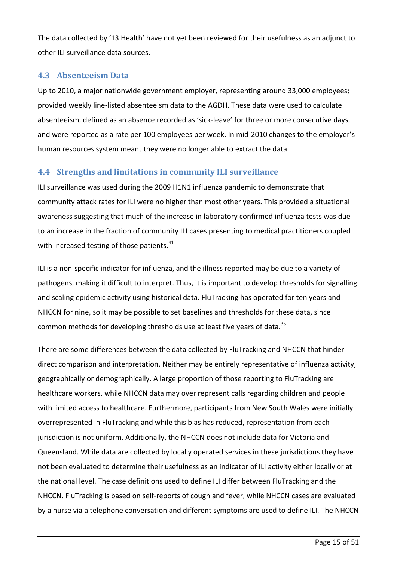The data collected by '13 Health' have not yet been reviewed for their usefulness as an adjunct to other ILI surveillance data sources.

#### **4.3 Absenteeism Data**

Up to 2010, a major nationwide government employer, representing around 33,000 employees; provided weekly line-listed absenteeism data to the AGDH. These data were used to calculate absenteeism, defined as an absence recorded as 'sick-leave' for three or more consecutive days, and were reported as a rate per 100 employees per week. In mid-2010 changes to the employer's human resources system meant they were no longer able to extract the data.

#### **4.4 Strengths and limitations in community ILI surveillance**

ILI surveillance was used during the 2009 H1N1 influenza pandemic to demonstrate that community attack rates for ILI were no higher than most other years. This provided a situational awareness suggesting that much of the increase in laboratory confirmed influenza tests was due to an increase in the fraction of community ILI cases presenting to medical practitioners coupled with increased testing of those patients.<sup>[41](#page-48-12)</sup>

ILI is a non-specific indicator for influenza, and the illness reported may be due to a variety of pathogens, making it difficult to interpret. Thus, it is important to develop thresholds for signalling and scaling epidemic activity using historical data. FluTracking has operated for ten years and NHCCN for nine, so it may be possible to set baselines and thresholds for these data, since common methods for developing thresholds use at least five years of data.<sup>[35](#page-48-6)</sup>

There are some differences between the data collected by FluTracking and NHCCN that hinder direct comparison and interpretation. Neither may be entirely representative of influenza activity, geographically or demographically. A large proportion of those reporting to FluTracking are healthcare workers, while NHCCN data may over represent calls regarding children and people with limited access to healthcare. Furthermore, participants from New South Wales were initially overrepresented in FluTracking and while this bias has reduced, representation from each jurisdiction is not uniform. Additionally, the NHCCN does not include data for Victoria and Queensland. While data are collected by locally operated services in these jurisdictions they have not been evaluated to determine their usefulness as an indicator of ILI activity either locally or at the national level. The case definitions used to define ILI differ between FluTracking and the NHCCN. FluTracking is based on self-reports of cough and fever, while NHCCN cases are evaluated by a nurse via a telephone conversation and different symptoms are used to define ILI. The NHCCN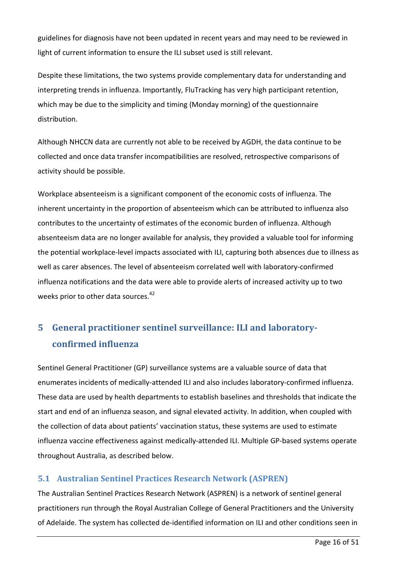guidelines for diagnosis have not been updated in recent years and may need to be reviewed in light of current information to ensure the ILI subset used is still relevant.

Despite these limitations, the two systems provide complementary data for understanding and interpreting trends in influenza. Importantly, FluTracking has very high participant retention, which may be due to the simplicity and timing (Monday morning) of the questionnaire distribution.

Although NHCCN data are currently not able to be received by AGDH, the data continue to be collected and once data transfer incompatibilities are resolved, retrospective comparisons of activity should be possible.

Workplace absenteeism is a significant component of the economic costs of influenza. The inherent uncertainty in the proportion of absenteeism which can be attributed to influenza also contributes to the uncertainty of estimates of the economic burden of influenza. Although absenteeism data are no longer available for analysis, they provided a valuable tool for informing the potential workplace-level impacts associated with ILI, capturing both absences due to illness as well as carer absences. The level of absenteeism correlated well with laboratory-confirmed influenza notifications and the data were able to provide alerts of increased activity up to two weeks prior to other data sources.<sup>[42](#page-48-13)</sup>

# <span id="page-15-0"></span>**5 General practitioner sentinel surveillance: ILI and laboratoryconfirmed influenza**

Sentinel General Practitioner (GP) surveillance systems are a valuable source of data that enumerates incidents of medically-attended ILI and also includes laboratory-confirmed influenza. These data are used by health departments to establish baselines and thresholds that indicate the start and end of an influenza season, and signal elevated activity. In addition, when coupled with the collection of data about patients' vaccination status, these systems are used to estimate influenza vaccine effectiveness against medically-attended ILI. Multiple GP-based systems operate throughout Australia, as described below.

#### **5.1 Australian Sentinel Practices Research Network (ASPREN)**

The Australian Sentinel Practices Research Network (ASPREN) is a network of sentinel general practitioners run through the Royal Australian College of General Practitioners and the University of Adelaide. The system has collected de-identified information on ILI and other conditions seen in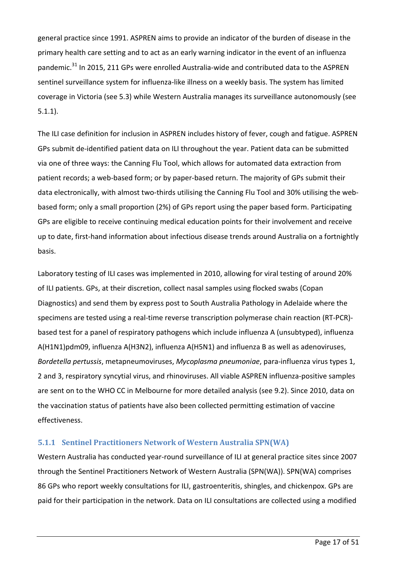general practice since 1991. ASPREN aims to provide an indicator of the burden of disease in the primary health care setting and to act as an early warning indicator in the event of an influenza pandemic.<sup>[31](#page-48-2)</sup> In 2015, 211 GPs were enrolled Australia-wide and contributed data to the ASPREN sentinel surveillance system for influenza-like illness on a weekly basis. The system has limited coverage in Victoria (see 5.3) while Western Australia manages its surveillance autonomously (see 5.1.1).

The ILI case definition for inclusion in ASPREN includes history of fever, cough and fatigue. ASPREN GPs submit de-identified patient data on ILI throughout the year. Patient data can be submitted via one of three ways: the Canning Flu Tool, which allows for automated data extraction from patient records; a web-based form; or by paper-based return. The majority of GPs submit their data electronically, with almost two-thirds utilising the Canning Flu Tool and 30% utilising the webbased form; only a small proportion (2%) of GPs report using the paper based form. Participating GPs are eligible to receive continuing medical education points for their involvement and receive up to date, first-hand information about infectious disease trends around Australia on a fortnightly basis.

Laboratory testing of ILI cases was implemented in 2010, allowing for viral testing of around 20% of ILI patients. GPs, at their discretion, collect nasal samples using flocked swabs (Copan Diagnostics) and send them by express post to South Australia Pathology in Adelaide where the specimens are tested using a real-time reverse transcription polymerase chain reaction (RT-PCR) based test for a panel of respiratory pathogens which include influenza A (unsubtyped), influenza A(H1N1)pdm09, influenza A(H3N2), influenza A(H5N1) and influenza B as well as adenoviruses, *Bordetella pertussis*, metapneumoviruses, *Mycoplasma pneumoniae*, para-influenza virus types 1, 2 and 3, respiratory syncytial virus, and rhinoviruses. All viable ASPREN influenza-positive samples are sent on to the WHO CC in Melbourne for more detailed analysis (see 9.2). Since 2010, data on the vaccination status of patients have also been collected permitting estimation of vaccine effectiveness.

#### **5.1.1 Sentinel Practitioners Network of Western Australia SPN(WA)**

Western Australia has conducted year-round surveillance of ILI at general practice sites since 2007 through the Sentinel Practitioners Network of Western Australia (SPN(WA)). SPN(WA) comprises 86 GPs who report weekly consultations for ILI, gastroenteritis, shingles, and chickenpox. GPs are paid for their participation in the network. Data on ILI consultations are collected using a modified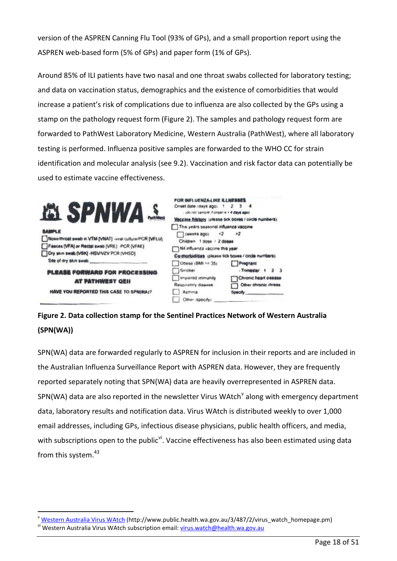version of the ASPREN Canning Flu Tool (93% of GPs), and a small proportion report using the ASPREN web-based form (5% of GPs) and paper form (1% of GPs).

Around 85% of ILI patients have two nasal and one throat swabs collected for laboratory testing; and data on vaccination status, demographics and the existence of comorbidities that would increase a patient's risk of complications due to influenza are also collected by the GPs using a stamp on the pathology request form [\(Figure 2\)](#page-17-0). The samples and pathology request form are forwarded to PathWest Laboratory Medicine, Western Australia (PathWest), where all laboratory testing is performed. Influenza positive samples are forwarded to the WHO CC for strain identification and molecular analysis (see 9.2). Vaccination and risk factor data can potentially be used to estimate vaccine effectiveness.

| Dry skin swab [VSK] -HSV/VZV PCR [VHSD]<br>Site of dry skin swab.<br>Obese (BMI >= 35)<br>Smoker<br><b>PLEASE FORWARD FOR PROCESSING</b><br>Impaired immunity<br><b>AT PATHWEST QEII</b><br>Resoratory disease.<br><b>HAVE YOU REPORTED THIS CASE TO SPN(WA)?</b><br>Asthma<br>Other (specify) | Nit influenza vaccine this year | Co-morbidities (please tick boxes / circle numbers)<br>Pregnant<br>- Trimester: 1<br>2 3<br>Chronic heart disease<br>Other chronic illness<br>Specify: |  |
|------------------------------------------------------------------------------------------------------------------------------------------------------------------------------------------------------------------------------------------------------------------------------------------------|---------------------------------|--------------------------------------------------------------------------------------------------------------------------------------------------------|--|
|------------------------------------------------------------------------------------------------------------------------------------------------------------------------------------------------------------------------------------------------------------------------------------------------|---------------------------------|--------------------------------------------------------------------------------------------------------------------------------------------------------|--|

<span id="page-17-0"></span>**Figure 2. Data collection stamp for the Sentinel Practices Network of Western Australia (SPN(WA))**

SPN(WA) data are forwarded regularly to ASPREN for inclusion in their reports and are included in the Australian Influenza Surveillance Report with ASPREN data. However, they are frequently reported separately noting that SPN(WA) data are heavily overrepresented in ASPREN data. SPN(WA) data are also reported in the newsletter Virus WAtch<sup>[v](#page-17-1)</sup> along with emergency department data, laboratory results and notification data. Virus WAtch is distributed weekly to over 1,000 email addresses, including GPs, infectious disease physicians, public health officers, and media, with subscriptions open to the public<sup>[vi](#page-17-2)</sup>. Vaccine effectiveness has also been estimated using data from this system.<sup>[43](#page-48-14)</sup>

-

<span id="page-17-2"></span><span id="page-17-1"></span>[Western Australia Virus WAtch](http://www.public.health.wa.gov.au/3/487/2/virus_watch_homepage.pm) (http://www.public.health.wa.gov.au/3/487/2/virus\_watch\_homepage.pm) vi Western Australia Virus WAtch subscription email: [virus.watch@health.wa.gov.au](mailto:virus.watch@health.wa.gov.au)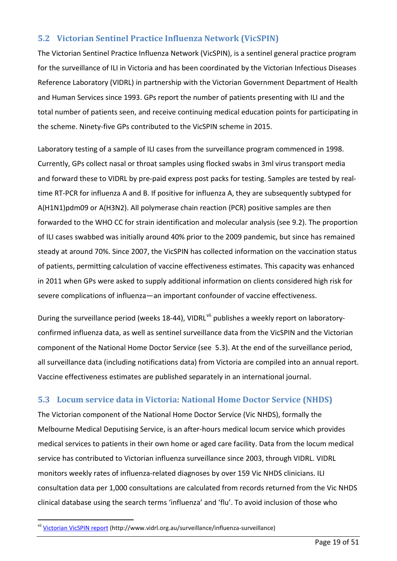#### **5.2 Victorian Sentinel Practice Influenza Network (VicSPIN)**

The Victorian Sentinel Practice Influenza Network (VicSPIN), is a sentinel general practice program for the surveillance of ILI in Victoria and has been coordinated by the Victorian Infectious Diseases Reference Laboratory (VIDRL) in partnership with the Victorian Government Department of Health and Human Services since 1993. GPs report the number of patients presenting with ILI and the total number of patients seen, and receive continuing medical education points for participating in the scheme. Ninety-five GPs contributed to the VicSPIN scheme in 2015.

Laboratory testing of a sample of ILI cases from the surveillance program commenced in 1998. Currently, GPs collect nasal or throat samples using flocked swabs in 3ml virus transport media and forward these to VIDRL by pre-paid express post packs for testing. Samples are tested by realtime RT-PCR for influenza A and B. If positive for influenza A, they are subsequently subtyped for A(H1N1)pdm09 or A(H3N2). All polymerase chain reaction (PCR) positive samples are then forwarded to the WHO CC for strain identification and molecular analysis (see 9.2). The proportion of ILI cases swabbed was initially around 40% prior to the 2009 pandemic, but since has remained steady at around 70%. Since 2007, the VicSPIN has collected information on the vaccination status of patients, permitting calculation of vaccine effectiveness estimates. This capacity was enhanced in 2011 when GPs were asked to supply additional information on clients considered high risk for severe complications of influenza—an important confounder of vaccine effectiveness.

During the surveillance period (weeks 18-44), VIDRL<sup>[vii](#page-18-0)</sup> publishes a weekly report on laboratoryconfirmed influenza data, as well as sentinel surveillance data from the VicSPIN and the Victorian component of the National Home Doctor Service (see 5.3). At the end of the surveillance period, all surveillance data (including notifications data) from Victoria are compiled into an annual report. Vaccine effectiveness estimates are published separately in an international journal.

#### **5.3 Locum service data in Victoria: National Home Doctor Service (NHDS)**

The Victorian component of the National Home Doctor Service (Vic NHDS), formally the Melbourne Medical Deputising Service, is an after-hours medical locum service which provides medical services to patients in their own home or aged care facility. Data from the locum medical service has contributed to Victorian influenza surveillance since 2003, through VIDRL. VIDRL monitors weekly rates of influenza-related diagnoses by over 159 Vic NHDS clinicians. ILI consultation data per 1,000 consultations are calculated from records returned from the Vic NHDS clinical database using the search terms 'influenza' and 'flu'. To avoid inclusion of those who

<span id="page-18-0"></span>vii [Victorian VicSPIN report](http://www.vidrl.org.au/surveillance/influenza-surveillance) (http://www.vidrl.org.au/surveillance/influenza-surveillance)

-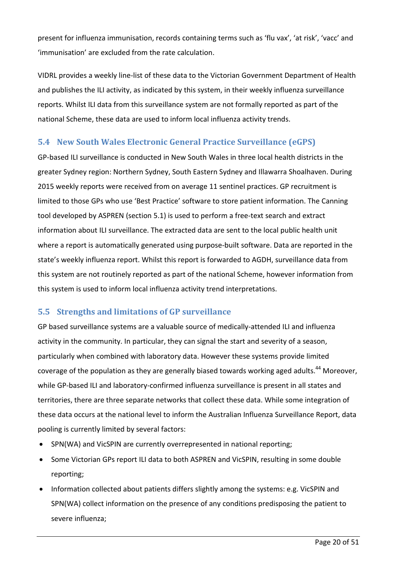present for influenza immunisation, records containing terms such as 'flu vax', 'at risk', 'vacc' and 'immunisation' are excluded from the rate calculation.

VIDRL provides a weekly line-list of these data to the Victorian Government Department of Health and publishes the ILI activity, as indicated by this system, in their weekly influenza surveillance reports. Whilst ILI data from this surveillance system are not formally reported as part of the national Scheme, these data are used to inform local influenza activity trends.

#### **5.4 New South Wales Electronic General Practice Surveillance (eGPS)**

GP-based ILI surveillance is conducted in New South Wales in three local health districts in the greater Sydney region: Northern Sydney, South Eastern Sydney and Illawarra Shoalhaven. During 2015 weekly reports were received from on average 11 sentinel practices. GP recruitment is limited to those GPs who use 'Best Practice' software to store patient information. The Canning tool developed by ASPREN (section 5.1) is used to perform a free-text search and extract information about ILI surveillance. The extracted data are sent to the local public health unit where a report is automatically generated using purpose-built software. Data are reported in the state's weekly influenza report. Whilst this report is forwarded to AGDH, surveillance data from this system are not routinely reported as part of the national Scheme, however information from this system is used to inform local influenza activity trend interpretations.

#### **5.5 Strengths and limitations of GP surveillance**

GP based surveillance systems are a valuable source of medically-attended ILI and influenza activity in the community. In particular, they can signal the start and severity of a season, particularly when combined with laboratory data. However these systems provide limited coverage of the population as they are generally biased towards working aged adults.<sup>[44](#page-48-15)</sup> Moreover, while GP-based ILI and laboratory-confirmed influenza surveillance is present in all states and territories, there are three separate networks that collect these data. While some integration of these data occurs at the national level to inform the Australian Influenza Surveillance Report, data pooling is currently limited by several factors:

- SPN(WA) and VicSPIN are currently overrepresented in national reporting;
- Some Victorian GPs report ILI data to both ASPREN and VicSPIN, resulting in some double reporting;
- Information collected about patients differs slightly among the systems: e.g. VicSPIN and SPN(WA) collect information on the presence of any conditions predisposing the patient to severe influenza;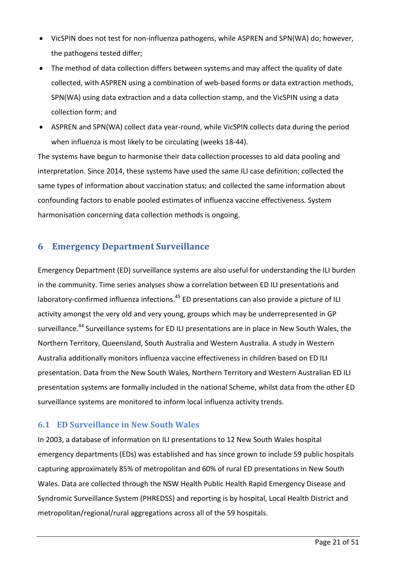- VicSPIN does not test for non-influenza pathogens, while ASPREN and SPN(WA) do; however, the pathogens tested differ;
- The method of data collection differs between systems and may affect the quality of date collected, with ASPREN using a combination of web-based forms or data extraction methods, SPN(WA) using data extraction and a data collection stamp, and the VicSPIN using a data collection form; and
- ASPREN and SPN(WA) collect data year-round, while VicSPIN collects data during the period when influenza is most likely to be circulating (weeks 18-44).

The systems have begun to harmonise their data collection processes to aid data pooling and interpretation. Since 2014, these systems have used the same ILI case definition; collected the same types of information about vaccination status; and collected the same information about confounding factors to enable pooled estimates of influenza vaccine effectiveness. System harmonisation concerning data collection methods is ongoing.

#### <span id="page-20-0"></span>**6 Emergency Department Surveillance**

Emergency Department (ED) surveillance systems are also useful for understanding the ILI burden in the community. Time series analyses show a correlation between ED ILI presentations and laboratory-confirmed influenza infections.<sup>[45](#page-48-16)</sup> ED presentations can also provide a picture of ILI activity amongst the very old and very young, groups which may be underrepresented in GP surveillance.<sup>[44](#page-48-15)</sup> Surveillance systems for ED ILI presentations are in place in New South Wales, the Northern Territory, Queensland, South Australia and Western Australia. A study in Western Australia additionally monitors influenza vaccine effectiveness in children based on ED ILI presentation. Data from the New South Wales, Northern Territory and Western Australian ED ILI presentation systems are formally included in the national Scheme, whilst data from the other ED surveillance systems are monitored to inform local influenza activity trends.

#### **6.1 ED Surveillance in New South Wales**

In 2003, a database of information on ILI presentations to 12 New South Wales hospital emergency departments (EDs) was established and has since grown to include 59 public hospitals capturing approximately 85% of metropolitan and 60% of rural ED presentations in New South Wales. Data are collected through the NSW Health Public Health Rapid Emergency Disease and Syndromic Surveillance System (PHREDSS) and reporting is by hospital, Local Health District and metropolitan/regional/rural aggregations across all of the 59 hospitals.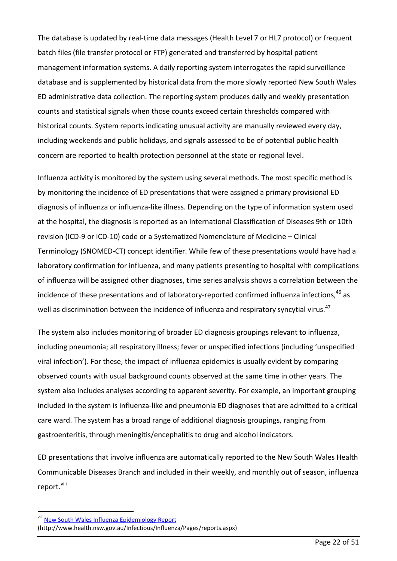The database is updated by real-time data messages (Health Level 7 or HL7 protocol) or frequent batch files (file transfer protocol or FTP) generated and transferred by hospital patient management information systems. A daily reporting system interrogates the rapid surveillance database and is supplemented by historical data from the more slowly reported New South Wales ED administrative data collection. The reporting system produces daily and weekly presentation counts and statistical signals when those counts exceed certain thresholds compared with historical counts. System reports indicating unusual activity are manually reviewed every day, including weekends and public holidays, and signals assessed to be of potential public health concern are reported to health protection personnel at the state or regional level.

Influenza activity is monitored by the system using several methods. The most specific method is by monitoring the incidence of ED presentations that were assigned a primary provisional ED diagnosis of influenza or influenza-like illness. Depending on the type of information system used at the hospital, the diagnosis is reported as an International Classification of Diseases 9th or 10th revision (ICD-9 or ICD-10) code or a Systematized Nomenclature of Medicine – Clinical Terminology (SNOMED-CT) concept identifier. While few of these presentations would have had a laboratory confirmation for influenza, and many patients presenting to hospital with complications of influenza will be assigned other diagnoses, time series analysis shows a correlation between the incidence of these presentations and of laboratory-reported confirmed influenza infections,<sup>[46](#page-49-0)</sup> as well as discrimination between the incidence of influenza and respiratory syncytial virus.<sup>[47](#page-49-1)</sup>

The system also includes monitoring of broader ED diagnosis groupings relevant to influenza, including pneumonia; all respiratory illness; fever or unspecified infections (including 'unspecified viral infection'). For these, the impact of influenza epidemics is usually evident by comparing observed counts with usual background counts observed at the same time in other years. The system also includes analyses according to apparent severity. For example, an important grouping included in the system is influenza-like and pneumonia ED diagnoses that are admitted to a critical care ward. The system has a broad range of additional diagnosis groupings, ranging from gastroenteritis, through meningitis/encephalitis to drug and alcohol indicators.

ED presentations that involve influenza are automatically reported to the New South Wales Health Communicable Diseases Branch and included in their weekly, and monthly out of season, influenza report. Vili

-

<span id="page-21-0"></span>viii [New South Wales Influenza Epidemiology Report](http://www.health.nsw.gov.au/Infectious/Influenza/Pages/reports.aspx)

<sup>(</sup>http://www.health.nsw.gov.au/Infectious/Influenza/Pages/reports.aspx)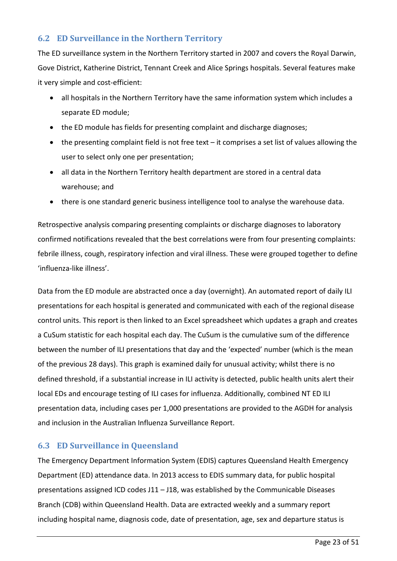#### **6.2 ED Surveillance in the Northern Territory**

The ED surveillance system in the Northern Territory started in 2007 and covers the Royal Darwin, Gove District, Katherine District, Tennant Creek and Alice Springs hospitals. Several features make it very simple and cost-efficient:

- all hospitals in the Northern Territory have the same information system which includes a separate ED module;
- the ED module has fields for presenting complaint and discharge diagnoses;
- the presenting complaint field is not free text it comprises a set list of values allowing the user to select only one per presentation;
- all data in the Northern Territory health department are stored in a central data warehouse; and
- there is one standard generic business intelligence tool to analyse the warehouse data.

Retrospective analysis comparing presenting complaints or discharge diagnoses to laboratory confirmed notifications revealed that the best correlations were from four presenting complaints: febrile illness, cough, respiratory infection and viral illness. These were grouped together to define 'influenza-like illness'.

Data from the ED module are abstracted once a day (overnight). An automated report of daily ILI presentations for each hospital is generated and communicated with each of the regional disease control units. This report is then linked to an Excel spreadsheet which updates a graph and creates a CuSum statistic for each hospital each day. The CuSum is the cumulative sum of the difference between the number of ILI presentations that day and the 'expected' number (which is the mean of the previous 28 days). This graph is examined daily for unusual activity; whilst there is no defined threshold, if a substantial increase in ILI activity is detected, public health units alert their local EDs and encourage testing of ILI cases for influenza. Additionally, combined NT ED ILI presentation data, including cases per 1,000 presentations are provided to the AGDH for analysis and inclusion in the Australian Influenza Surveillance Report.

#### **6.3 ED Surveillance in Queensland**

The Emergency Department Information System (EDIS) captures Queensland Health Emergency Department (ED) attendance data. In 2013 access to EDIS summary data, for public hospital presentations assigned ICD codes J11 – J18, was established by the Communicable Diseases Branch (CDB) within Queensland Health. Data are extracted weekly and a summary report including hospital name, diagnosis code, date of presentation, age, sex and departure status is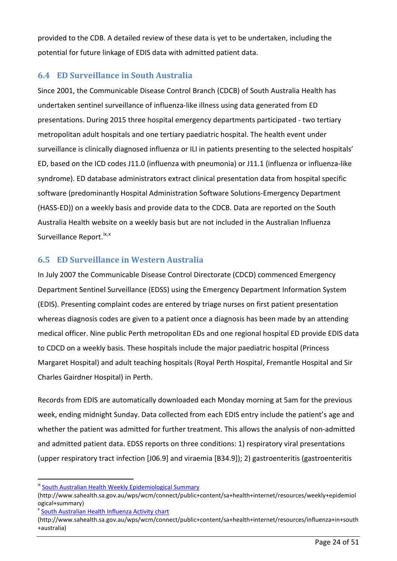provided to the CDB. A detailed review of these data is yet to be undertaken, including the potential for future linkage of EDIS data with admitted patient data.

#### **6.4 ED Surveillance in South Australia**

Since 2001, the Communicable Disease Control Branch (CDCB) of South Australia Health has undertaken sentinel surveillance of influenza-like illness using data generated from ED presentations. During 2015 three hospital emergency departments participated - two tertiary metropolitan adult hospitals and one tertiary paediatric hospital. The health event under surveillance is clinically diagnosed influenza or ILI in patients presenting to the selected hospitals' ED, based on the ICD codes J11.0 (influenza with pneumonia) or J11.1 (influenza or influenza-like syndrome). ED database administrators extract clinical presentation data from hospital specific software (predominantly Hospital Administration Software Solutions-Emergency Department (HASS-ED)) on a weekly basis and provide data to the CDCB. Data are reported on the South Australia Health website on a weekly basis but are not included in the Australian Influenza Surveillance Report. <sup>[ix](#page-23-0), [x](#page-23-1)</sup>

#### **6.5 ED Surveillance in Western Australia**

In July 2007 the Communicable Disease Control Directorate (CDCD) commenced Emergency Department Sentinel Surveillance (EDSS) using the Emergency Department Information System (EDIS). Presenting complaint codes are entered by triage nurses on first patient presentation whereas diagnosis codes are given to a patient once a diagnosis has been made by an attending medical officer. Nine public Perth metropolitan EDs and one regional hospital ED provide EDIS data to CDCD on a weekly basis. These hospitals include the major paediatric hospital (Princess Margaret Hospital) and adult teaching hospitals (Royal Perth Hospital, Fremantle Hospital and Sir Charles Gairdner Hospital) in Perth.

Records from EDIS are automatically downloaded each Monday morning at 5am for the previous week, ending midnight Sunday. Data collected from each EDIS entry include the patient's age and whether the patient was admitted for further treatment. This allows the analysis of non-admitted and admitted patient data. EDSS reports on three conditions: 1) respiratory viral presentations (upper respiratory tract infection [J06.9] and viraemia [B34.9]); 2) gastroenteritis (gastroenteritis

1

<span id="page-23-0"></span><sup>&</sup>lt;sup>ix</sup> [South Australian Health Weekly Epidemiological Summary](http://www.sahealth.sa.gov.au/wps/wcm/connect/public+content/sa+health+internet/resources/weekly+epidemiological+summary)

<sup>(</sup>http://www.sahealth.sa.gov.au/wps/wcm/connect/public+content/sa+health+internet/resources/weekly+epidemiol ogical+summary)<br><sup>x</sup> [South Australian Health Influenza Activity chart](http://www.sahealth.sa.gov.au/wps/wcm/connect/public+content/sa+health+internet/resources/influenza+in+south+australia)

<span id="page-23-1"></span>

<sup>(</sup>http://www.sahealth.sa.gov.au/wps/wcm/connect/public+content/sa+health+internet/resources/influenza+in+south +australia)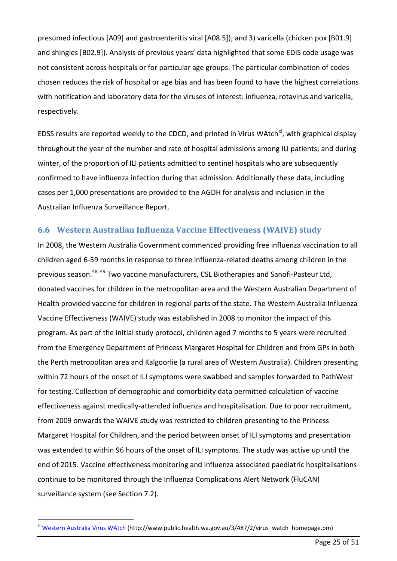presumed infectious [A09] and gastroenteritis viral [A08.5]); and 3) varicella (chicken pox [B01.9] and shingles [B02.9]). Analysis of previous years' data highlighted that some EDIS code usage was not consistent across hospitals or for particular age groups. The particular combination of codes chosen reduces the risk of hospital or age bias and has been found to have the highest correlations with notification and laboratory data for the viruses of interest: influenza, rotavirus and varicella, respectively.

EDSS results are reported weekly to the CDCD, and printed in Virus WAtch<sup>xi</sup>, with graphical display throughout the year of the number and rate of hospital admissions among ILI patients; and during winter, of the proportion of ILI patients admitted to sentinel hospitals who are subsequently confirmed to have influenza infection during that admission. Additionally these data, including cases per 1,000 presentations are provided to the AGDH for analysis and inclusion in the Australian Influenza Surveillance Report.

#### **6.6 Western Australian Influenza Vaccine Effectiveness (WAIVE) study**

In 2008, the Western Australia Government commenced providing free influenza vaccination to all children aged 6-59 months in response to three influenza-related deaths among children in the previous season. [48,](#page-49-2) [49](#page-49-3) Two vaccine manufacturers, CSL Biotherapies and Sanofi-Pasteur Ltd, donated vaccines for children in the metropolitan area and the Western Australian Department of Health provided vaccine for children in regional parts of the state. The Western Australia Influenza Vaccine Effectiveness (WAIVE) study was established in 2008 to monitor the impact of this program. As part of the initial study protocol, children aged 7 months to 5 years were recruited from the Emergency Department of Princess Margaret Hospital for Children and from GPs in both the Perth metropolitan area and Kalgoorlie (a rural area of Western Australia). Children presenting within 72 hours of the onset of ILI symptoms were swabbed and samples forwarded to PathWest for testing. Collection of demographic and comorbidity data permitted calculation of vaccine effectiveness against medically-attended influenza and hospitalisation. Due to poor recruitment, from 2009 onwards the WAIVE study was restricted to children presenting to the Princess Margaret Hospital for Children, and the period between onset of ILI symptoms and presentation was extended to within 96 hours of the onset of ILI symptoms. The study was active up until the end of 2015. Vaccine effectiveness monitoring and influenza associated paediatric hospitalisations continue to be monitored through the Influenza Complications Alert Network (FluCAN) surveillance system (see Section 7.2).

<u>.</u>

<span id="page-24-0"></span><sup>&</sup>lt;sup>xi</sup> [Western Australia Virus WAtch](http://www.public.health.wa.gov.au/3/487/2/virus_watch_homepage.pm) (http://www.public.health.wa.gov.au/3/487/2/virus watch homepage.pm)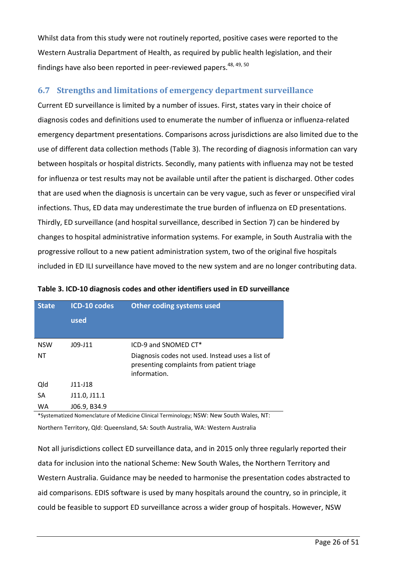Whilst data from this study were not routinely reported, positive cases were reported to the Western Australia Department of Health, as required by public health legislation, and their findings have also been reported in peer-reviewed papers.<sup>[48,](#page-49-2) [49,](#page-49-3) [50](#page-49-4)</sup>

#### **6.7 Strengths and limitations of emergency department surveillance**

Current ED surveillance is limited by a number of issues. First, states vary in their choice of diagnosis codes and definitions used to enumerate the number of influenza or influenza-related emergency department presentations. Comparisons across jurisdictions are also limited due to the use of different data collection methods [\(Table 3\)](#page-25-0). The recording of diagnosis information can vary between hospitals or hospital districts. Secondly, many patients with influenza may not be tested for influenza or test results may not be available until after the patient is discharged. Other codes that are used when the diagnosis is uncertain can be very vague, such as fever or unspecified viral infections. Thus, ED data may underestimate the true burden of influenza on ED presentations. Thirdly, ED surveillance (and hospital surveillance, described in Section 7) can be hindered by changes to hospital administrative information systems. For example, in South Australia with the progressive rollout to a new patient administration system, two of the original five hospitals included in ED ILI surveillance have moved to the new system and are no longer contributing data.

| <b>State</b> | ICD-10 codes | Other coding systems used                                                                                     |
|--------------|--------------|---------------------------------------------------------------------------------------------------------------|
|              | used         |                                                                                                               |
|              |              |                                                                                                               |
| <b>NSW</b>   | $J09-J11$    | ICD-9 and SNOMED CT*                                                                                          |
| <b>NT</b>    |              | Diagnosis codes not used. Instead uses a list of<br>presenting complaints from patient triage<br>information. |
| Qld          | $J11-J18$    |                                                                                                               |
| SA           | J11.0, J11.1 |                                                                                                               |
| WA           | J06.9, B34.9 |                                                                                                               |

<span id="page-25-0"></span>**Table 3. ICD-10 diagnosis codes and other identifiers used in ED surveillance**

\*Systematized Nomenclature of Medicine Clinical Terminology; NSW: New South Wales, NT: Northern Territory, Qld: Queensland, SA: South Australia, WA: Western Australia

Not all jurisdictions collect ED surveillance data, and in 2015 only three regularly reported their data for inclusion into the national Scheme: New South Wales, the Northern Territory and Western Australia. Guidance may be needed to harmonise the presentation codes abstracted to aid comparisons. EDIS software is used by many hospitals around the country, so in principle, it could be feasible to support ED surveillance across a wider group of hospitals. However, NSW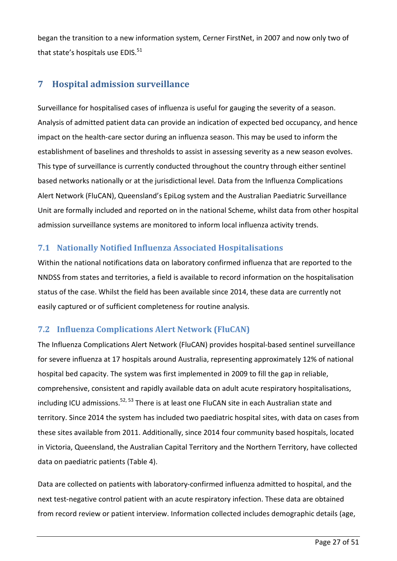began the transition to a new information system, Cerner FirstNet, in 2007 and now only two of that state's hospitals use  $EDIS.<sup>51</sup>$ 

# <span id="page-26-0"></span>**7 Hospital admission surveillance**

Surveillance for hospitalised cases of influenza is useful for gauging the severity of a season. Analysis of admitted patient data can provide an indication of expected bed occupancy, and hence impact on the health-care sector during an influenza season. This may be used to inform the establishment of baselines and thresholds to assist in assessing severity as a new season evolves. This type of surveillance is currently conducted throughout the country through either sentinel based networks nationally or at the jurisdictional level. Data from the Influenza Complications Alert Network (FluCAN), Queensland's EpiLog system and the Australian Paediatric Surveillance Unit are formally included and reported on in the national Scheme, whilst data from other hospital admission surveillance systems are monitored to inform local influenza activity trends.

#### **7.1 Nationally Notified Influenza Associated Hospitalisations**

Within the national notifications data on laboratory confirmed influenza that are reported to the NNDSS from states and territories, a field is available to record information on the hospitalisation status of the case. Whilst the field has been available since 2014, these data are currently not easily captured or of sufficient completeness for routine analysis.

# **7.2 Influenza Complications Alert Network (FluCAN)**

The Influenza Complications Alert Network (FluCAN) provides hospital-based sentinel surveillance for severe influenza at 17 hospitals around Australia, representing approximately 12% of national hospital bed capacity. The system was first implemented in 2009 to fill the gap in reliable, comprehensive, consistent and rapidly available data on adult acute respiratory hospitalisations, including ICU admissions.<sup>[52,](#page-49-6) [53](#page-49-7)</sup> There is at least one FluCAN site in each Australian state and territory. Since 2014 the system has included two paediatric hospital sites, with data on cases from these sites available from 2011. Additionally, since 2014 four community based hospitals, located in Victoria, Queensland, the Australian Capital Territory and the Northern Territory, have collected data on paediatric patients [\(Table 4\)](#page-27-0).

Data are collected on patients with laboratory-confirmed influenza admitted to hospital, and the next test-negative control patient with an acute respiratory infection. These data are obtained from record review or patient interview. Information collected includes demographic details (age,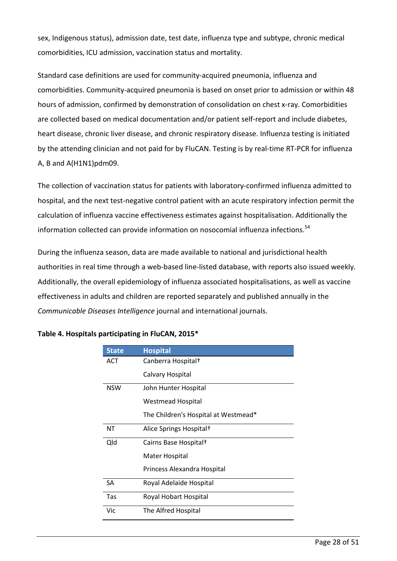sex, Indigenous status), admission date, test date, influenza type and subtype, chronic medical comorbidities, ICU admission, vaccination status and mortality.

Standard case definitions are used for community-acquired pneumonia, influenza and comorbidities. Community-acquired pneumonia is based on onset prior to admission or within 48 hours of admission, confirmed by demonstration of consolidation on chest x-ray. Comorbidities are collected based on medical documentation and/or patient self-report and include diabetes, heart disease, chronic liver disease, and chronic respiratory disease. Influenza testing is initiated by the attending clinician and not paid for by FluCAN. Testing is by real-time RT-PCR for influenza A, B and A(H1N1)pdm09.

The collection of vaccination status for patients with laboratory-confirmed influenza admitted to hospital, and the next test-negative control patient with an acute respiratory infection permit the calculation of influenza vaccine effectiveness estimates against hospitalisation. Additionally the information collected can provide information on nosocomial influenza infections.<sup>54</sup>

During the influenza season, data are made available to national and jurisdictional health authorities in real time through a web-based line-listed database, with reports also issued weekly. Additionally, the overall epidemiology of influenza associated hospitalisations, as well as vaccine effectiveness in adults and children are reported separately and published annually in the *Communicable Diseases Intelligence* journal and international journals.

| <b>State</b> | <b>Hospital</b>                      |  |  |  |  |  |
|--------------|--------------------------------------|--|--|--|--|--|
| ACT          | Canberra Hospital <sup>+</sup>       |  |  |  |  |  |
|              | Calvary Hospital                     |  |  |  |  |  |
| <b>NSW</b>   | John Hunter Hospital                 |  |  |  |  |  |
|              | Westmead Hospital                    |  |  |  |  |  |
|              | The Children's Hospital at Westmead* |  |  |  |  |  |
| NΤ           | Alice Springs Hospital <sup>†</sup>  |  |  |  |  |  |
| Qld          | Cairns Base Hospital <sup>†</sup>    |  |  |  |  |  |
|              | Mater Hospital                       |  |  |  |  |  |
|              | Princess Alexandra Hospital          |  |  |  |  |  |
| SA           | Royal Adelaide Hospital              |  |  |  |  |  |
| Tas          | Royal Hobart Hospital                |  |  |  |  |  |
| Vic          | The Alfred Hospital                  |  |  |  |  |  |

#### <span id="page-27-0"></span>**Table 4. Hospitals participating in FluCAN, 2015\***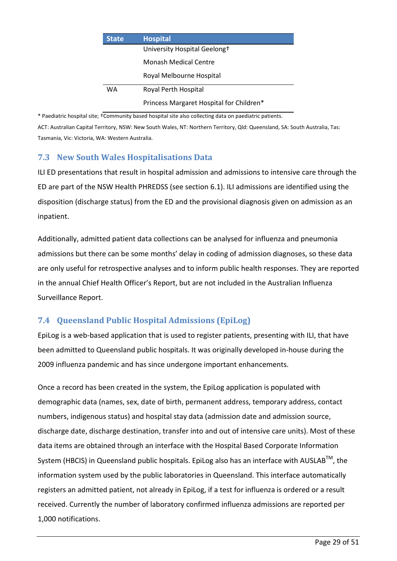| <b>State</b> | <b>Hospital</b>                          |  |  |  |  |  |  |
|--------------|------------------------------------------|--|--|--|--|--|--|
|              | University Hospital Geelong+             |  |  |  |  |  |  |
|              | Monash Medical Centre                    |  |  |  |  |  |  |
|              | Royal Melbourne Hospital                 |  |  |  |  |  |  |
| WA           | Royal Perth Hospital                     |  |  |  |  |  |  |
|              | Princess Margaret Hospital for Children* |  |  |  |  |  |  |

\* Paediatric hospital site; †Community based hospital site also collecting data on paediatric patients.

ACT: Australian Capital Territory, NSW: New South Wales, NT: Northern Territory, Qld: Queensland, SA: South Australia, Tas: Tasmania, Vic: Victoria, WA: Western Australia.

#### **7.3 New South Wales Hospitalisations Data**

ILI ED presentations that result in hospital admission and admissions to intensive care through the ED are part of the NSW Health PHREDSS (see section 6.1). ILI admissions are identified using the disposition (discharge status) from the ED and the provisional diagnosis given on admission as an inpatient.

Additionally, admitted patient data collections can be analysed for influenza and pneumonia admissions but there can be some months' delay in coding of admission diagnoses, so these data are only useful for retrospective analyses and to inform public health responses. They are reported in the annual Chief Health Officer's Report, but are not included in the Australian Influenza Surveillance Report.

# **7.4 Queensland Public Hospital Admissions (EpiLog)**

EpiLog is a web-based application that is used to register patients, presenting with ILI, that have been admitted to Queensland public hospitals. It was originally developed in-house during the 2009 influenza pandemic and has since undergone important enhancements.

Once a record has been created in the system, the EpiLog application is populated with demographic data (names, sex, date of birth, permanent address, temporary address, contact numbers, indigenous status) and hospital stay data (admission date and admission source, discharge date, discharge destination, transfer into and out of intensive care units). Most of these data items are obtained through an interface with the Hospital Based Corporate Information System (HBCIS) in Queensland public hospitals. EpiLog also has an interface with AUSLAB<sup>™</sup>, the information system used by the public laboratories in Queensland. This interface automatically registers an admitted patient, not already in EpiLog, if a test for influenza is ordered or a result received. Currently the number of laboratory confirmed influenza admissions are reported per 1,000 notifications.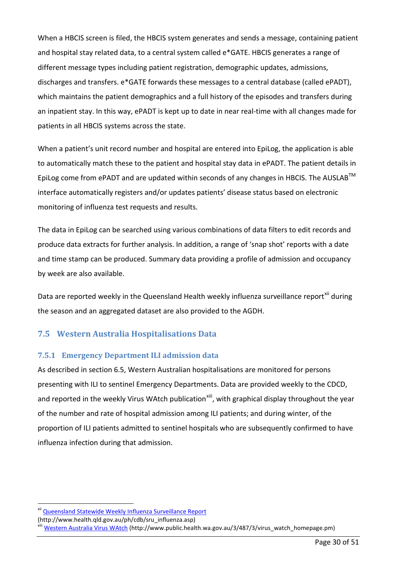When a HBCIS screen is filed, the HBCIS system generates and sends a message, containing patient and hospital stay related data, to a central system called e\*GATE. HBCIS generates a range of different message types including patient registration, demographic updates, admissions, discharges and transfers. e\*GATE forwards these messages to a central database (called ePADT), which maintains the patient demographics and a full history of the episodes and transfers during an inpatient stay. In this way, ePADT is kept up to date in near real-time with all changes made for patients in all HBCIS systems across the state.

When a patient's unit record number and hospital are entered into EpiLog, the application is able to automatically match these to the patient and hospital stay data in ePADT. The patient details in EpiLog come from ePADT and are updated within seconds of any changes in HBCIS. The AUSLAB<sup>TM</sup> interface automatically registers and/or updates patients' disease status based on electronic monitoring of influenza test requests and results.

The data in EpiLog can be searched using various combinations of data filters to edit records and produce data extracts for further analysis. In addition, a range of 'snap shot' reports with a date and time stamp can be produced. Summary data providing a profile of admission and occupancy by week are also available.

Data are reported weekly in the Queensland Health weekly influenza surveillance report<sup>[xii](#page-29-0)</sup> during the season and an aggregated dataset are also provided to the AGDH.

#### **7.5 Western Australia Hospitalisations Data**

#### **7.5.1 Emergency Department ILI admission data**

<span id="page-29-2"></span>As described in section 6.5, Western Australian hospitalisations are monitored for persons presenting with ILI to sentinel Emergency Departments. Data are provided weekly to the CDCD, and reported in the weekly Virus WAtch publication<sup>xiii</sup>, with graphical display throughout the year of the number and rate of hospital admission among ILI patients; and during winter, of the proportion of ILI patients admitted to sentinel hospitals who are subsequently confirmed to have influenza infection during that admission.

<u>.</u>

<span id="page-29-0"></span>xii [Queensland Statewide Weekly Influenza Surveillance Report](http://www.health.qld.gov.au/ph/cdb/sru_influenza.asp)

<span id="page-29-1"></span>

<sup>(</sup>http://www.health.qld.gov.au/ph/cdb/sru\_influenza.asp)<br>
<sup>xiii</sup> [Western Australia Virus WAtch](http://www.public.health.wa.gov.au/3/487/3/virus_watch_homepage.pm) (http://www.public.health.wa.gov.au/3/487/3/virus\_watch\_homepage.pm)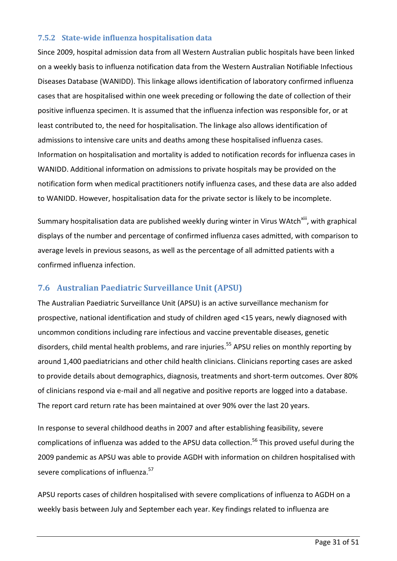#### **7.5.2 State-wide influenza hospitalisation data**

Since 2009, hospital admission data from all Western Australian public hospitals have been linked on a weekly basis to influenza notification data from the Western Australian Notifiable Infectious Diseases Database (WANIDD). This linkage allows identification of laboratory confirmed influenza cases that are hospitalised within one week preceding or following the date of collection of their positive influenza specimen. It is assumed that the influenza infection was responsible for, or at least contributed to, the need for hospitalisation. The linkage also allows identification of admissions to intensive care units and deaths among these hospitalised influenza cases. Information on hospitalisation and mortality is added to notification records for influenza cases in WANIDD. Additional information on admissions to private hospitals may be provided on the notification form when medical practitioners notify influenza cases, and these data are also added to WANIDD. However, hospitalisation data for the private sector is likely to be incomplete.

Summary hospitalisation data are published weekly during winter in Virus WAtch<sup>xiii</sup>, with graphical displays of the number and percentage of confirmed influenza cases admitted, with comparison to average levels in previous seasons, as well as the percentage of all admitted patients with a confirmed influenza infection.

#### **7.6 Australian Paediatric Surveillance Unit (APSU)**

The Australian Paediatric Surveillance Unit (APSU) is an active surveillance mechanism for prospective, national identification and study of children aged <15 years, newly diagnosed with uncommon conditions including rare infectious and vaccine preventable diseases, genetic disorders, child mental health problems, and rare injuries. [55](#page-49-9) APSU relies on monthly reporting by around 1,400 paediatricians and other child health clinicians. Clinicians reporting cases are asked to provide details about demographics, diagnosis, treatments and short-term outcomes. Over 80% of clinicians respond via e-mail and all negative and positive reports are logged into a database. The report card return rate has been maintained at over 90% over the last 20 years.

In response to several childhood deaths in 2007 and after establishing feasibility, severe complications of influenza was added to the APSU data collection. [56](#page-49-10) This proved useful during the 2009 pandemic as APSU was able to provide AGDH with information on children hospitalised with severe complications of influenza.<sup>[57](#page-49-11)</sup>

APSU reports cases of children hospitalised with severe complications of influenza to AGDH on a weekly basis between July and September each year. Key findings related to influenza are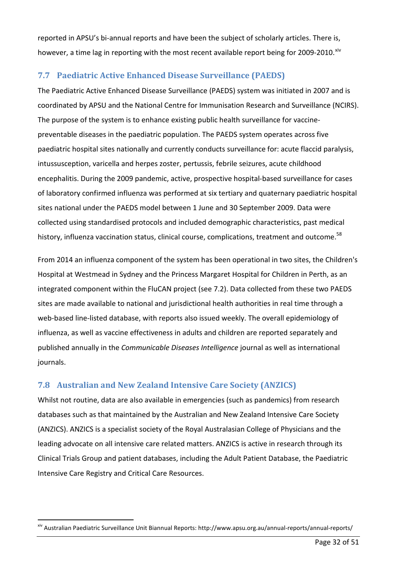reported in APSU's bi-annual reports and have been the subject of scholarly articles. There is, however, a time lag in reporting with the most recent available report being for 2009-2010.<sup>[xiv](#page-31-0)</sup>

## **7.7 Paediatric Active Enhanced Disease Surveillance (PAEDS)**

The Paediatric Active Enhanced Disease Surveillance (PAEDS) system was initiated in 2007 and is coordinated by APSU and the National Centre for Immunisation Research and Surveillance (NCIRS). The purpose of the system is to enhance existing public health surveillance for vaccinepreventable diseases in the paediatric population. The PAEDS system operates across five paediatric hospital sites nationally and currently conducts surveillance for: acute flaccid paralysis, intussusception, varicella and herpes zoster, pertussis, febrile seizures, acute childhood encephalitis. During the 2009 pandemic, active, prospective hospital-based surveillance for cases of laboratory confirmed influenza was performed at six tertiary and quaternary paediatric hospital sites national under the PAEDS model between 1 June and 30 September 2009. Data were collected using standardised protocols and included demographic characteristics, past medical history, influenza vaccination status, clinical course, complications, treatment and outcome.<sup>[58](#page-49-12)</sup>

From 2014 an influenza component of the system has been operational in two sites, the Children's Hospital at Westmead in Sydney and the Princess Margaret Hospital for Children in Perth, as an integrated component within the FluCAN project (see 7.2). Data collected from these two PAEDS sites are made available to national and jurisdictional health authorities in real time through a web-based line-listed database, with reports also issued weekly. The overall epidemiology of influenza, as well as vaccine effectiveness in adults and children are reported separately and published annually in the *Communicable Diseases Intelligence* journal as well as international journals.

# **7.8 Australian and New Zealand Intensive Care Society (ANZICS)**

<u>.</u>

Whilst not routine, data are also available in emergencies (such as pandemics) from research databases such as that maintained by the Australian and New Zealand Intensive Care Society (ANZICS). ANZICS is a specialist society of the Royal Australasian College of Physicians and the leading advocate on all intensive care related matters. ANZICS is active in research through its Clinical Trials Group and patient databases, including the Adult Patient Database, the Paediatric Intensive Care Registry and Critical Care Resources.

<span id="page-31-0"></span>xiv Australian Paediatric Surveillance Unit Biannual Reports: http://www.apsu.org.au/annual-reports/annual-reports/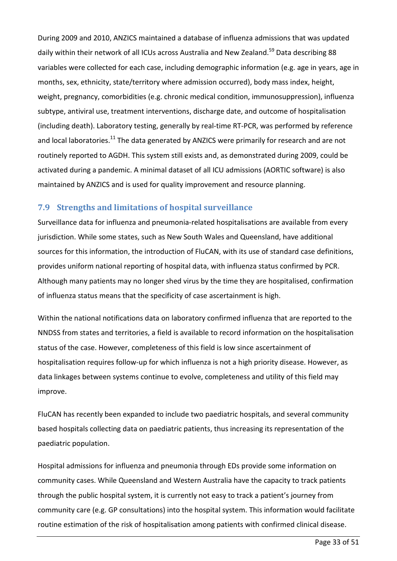During 2009 and 2010, ANZICS maintained a database of influenza admissions that was updated daily within their network of all ICUs across Australia and New Zealand.<sup>[59](#page-49-13)</sup> Data describing 88 variables were collected for each case, including demographic information (e.g. age in years, age in months, sex, ethnicity, state/territory where admission occurred), body mass index, height, weight, pregnancy, comorbidities (e.g. chronic medical condition, immunosuppression), influenza subtype, antiviral use, treatment interventions, discharge date, and outcome of hospitalisation (including death). Laboratory testing, generally by real-time RT-PCR, was performed by reference and local laboratories.<sup>[11](#page-46-11)</sup> The data generated by ANZICS were primarily for research and are not routinely reported to AGDH. This system still exists and, as demonstrated during 2009, could be activated during a pandemic. A minimal dataset of all ICU admissions (AORTIC software) is also maintained by ANZICS and is used for quality improvement and resource planning.

#### **7.9 Strengths and limitations of hospital surveillance**

Surveillance data for influenza and pneumonia-related hospitalisations are available from every jurisdiction. While some states, such as New South Wales and Queensland, have additional sources for this information, the introduction of FluCAN, with its use of standard case definitions, provides uniform national reporting of hospital data, with influenza status confirmed by PCR. Although many patients may no longer shed virus by the time they are hospitalised, confirmation of influenza status means that the specificity of case ascertainment is high.

Within the national notifications data on laboratory confirmed influenza that are reported to the NNDSS from states and territories, a field is available to record information on the hospitalisation status of the case. However, completeness of this field is low since ascertainment of hospitalisation requires follow-up for which influenza is not a high priority disease. However, as data linkages between systems continue to evolve, completeness and utility of this field may improve.

FluCAN has recently been expanded to include two paediatric hospitals, and several community based hospitals collecting data on paediatric patients, thus increasing its representation of the paediatric population.

Hospital admissions for influenza and pneumonia through EDs provide some information on community cases. While Queensland and Western Australia have the capacity to track patients through the public hospital system, it is currently not easy to track a patient's journey from community care (e.g. GP consultations) into the hospital system. This information would facilitate routine estimation of the risk of hospitalisation among patients with confirmed clinical disease.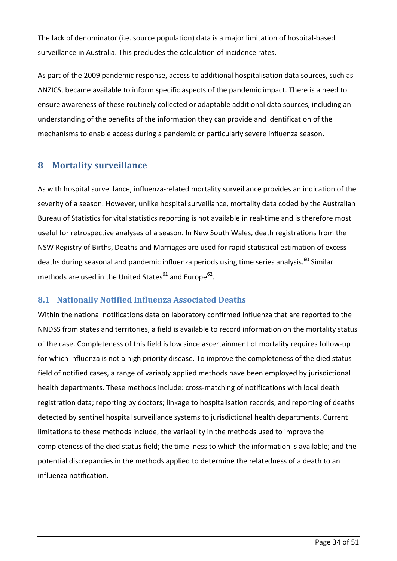The lack of denominator (i.e. source population) data is a major limitation of hospital-based surveillance in Australia. This precludes the calculation of incidence rates.

As part of the 2009 pandemic response, access to additional hospitalisation data sources, such as ANZICS, became available to inform specific aspects of the pandemic impact. There is a need to ensure awareness of these routinely collected or adaptable additional data sources, including an understanding of the benefits of the information they can provide and identification of the mechanisms to enable access during a pandemic or particularly severe influenza season.

#### <span id="page-33-0"></span>**8 Mortality surveillance**

As with hospital surveillance, influenza-related mortality surveillance provides an indication of the severity of a season. However, unlike hospital surveillance, mortality data coded by the Australian Bureau of Statistics for vital statistics reporting is not available in real-time and is therefore most useful for retrospective analyses of a season. In New South Wales, death registrations from the NSW Registry of Births, Deaths and Marriages are used for rapid statistical estimation of excess deaths during seasonal and pandemic influenza periods using time series analysis.<sup>[60](#page-49-14)</sup> Similar methods are used in the United States $61$  and Europe $62$ .

#### **8.1 Nationally Notified Influenza Associated Deaths**

Within the national notifications data on laboratory confirmed influenza that are reported to the NNDSS from states and territories, a field is available to record information on the mortality status of the case. Completeness of this field is low since ascertainment of mortality requires follow-up for which influenza is not a high priority disease. To improve the completeness of the died status field of notified cases, a range of variably applied methods have been employed by jurisdictional health departments. These methods include: cross-matching of notifications with local death registration data; reporting by doctors; linkage to hospitalisation records; and reporting of deaths detected by sentinel hospital surveillance systems to jurisdictional health departments. Current limitations to these methods include, the variability in the methods used to improve the completeness of the died status field; the timeliness to which the information is available; and the potential discrepancies in the methods applied to determine the relatedness of a death to an influenza notification.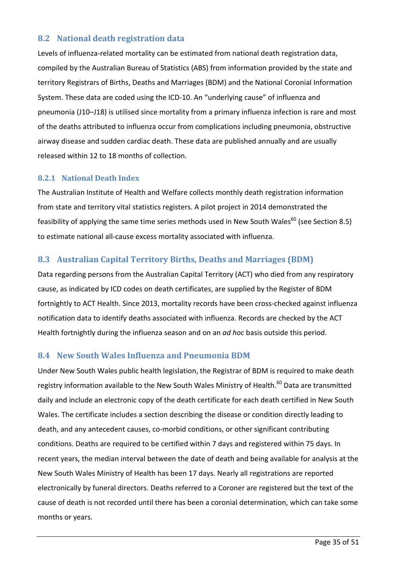#### **8.2 National death registration data**

Levels of influenza-related mortality can be estimated from national death registration data, compiled by the Australian Bureau of Statistics (ABS) from information provided by the state and territory Registrars of Births, Deaths and Marriages (BDM) and the National Coronial Information System. These data are coded using the ICD-10. An "underlying cause" of influenza and pneumonia (J10–J18) is utilised since mortality from a primary influenza infection is rare and most of the deaths attributed to influenza occur from complications including pneumonia, obstructive airway disease and sudden cardiac death. These data are published annually and are usually released within 12 to 18 months of collection.

#### **8.2.1 National Death Index**

The Australian Institute of Health and Welfare collects monthly death registration information from state and territory vital statistics registers. A pilot project in 2014 demonstrated the feasibility of applying the same time series methods used in New South Wales<sup>60</sup> (see Section 8.5) to estimate national all-cause excess mortality associated with influenza.

#### **8.3 Australian Capital Territory Births, Deaths and Marriages (BDM)**

Data regarding persons from the Australian Capital Territory (ACT) who died from any respiratory cause, as indicated by ICD codes on death certificates, are supplied by the Register of BDM fortnightly to ACT Health. Since 2013, mortality records have been cross-checked against influenza notification data to identify deaths associated with influenza. Records are checked by the ACT Health fortnightly during the influenza season and on an *ad hoc* basis outside this period.

#### **8.4 New South Wales Influenza and Pneumonia BDM**

Under New South Wales public health legislation, the Registrar of BDM is required to make death registry information available to the New South Wales Ministry of Health.<sup>60</sup> Data are transmitted daily and include an electronic copy of the death certificate for each death certified in New South Wales. The certificate includes a section describing the disease or condition directly leading to death, and any antecedent causes, co-morbid conditions, or other significant contributing conditions. Deaths are required to be certified within 7 days and registered within 75 days. In recent years, the median interval between the date of death and being available for analysis at the New South Wales Ministry of Health has been 17 days. Nearly all registrations are reported electronically by funeral directors. Deaths referred to a Coroner are registered but the text of the cause of death is not recorded until there has been a coronial determination, which can take some months or years.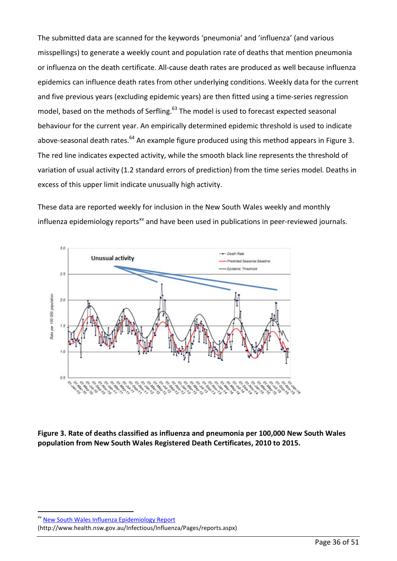The submitted data are scanned for the keywords 'pneumonia' and 'influenza' (and various misspellings) to generate a weekly count and population rate of deaths that mention pneumonia or influenza on the death certificate. All-cause death rates are produced as well because influenza epidemics can influence death rates from other underlying conditions. Weekly data for the current and five previous years (excluding epidemic years) are then fitted using a time-series regression model, based on the methods of Serfling.<sup>63</sup> The model is used to forecast expected seasonal behaviour for the current year. An empirically determined epidemic threshold is used to indicate above-seasonal death rates.<sup>64</sup> An example figure produced using this method appears in [Figure 3.](#page-35-0) The red line indicates expected activity, while the smooth black line represents the threshold of variation of usual activity (1.2 standard errors of prediction) from the time series model. Deaths in excess of this upper limit indicate unusually high activity.

These data are reported weekly for inclusion in the New South Wales weekly and monthly influenza epidemiology reports<sup>[xv](#page-35-1)</sup> and have been used in publications in peer-reviewed journals.



<span id="page-35-0"></span>**Figure 3. Rate of deaths classified as influenza and pneumonia per 100,000 New South Wales population from New South Wales Registered Death Certificates, 2010 to 2015.** 

<span id="page-35-1"></span>xv [New South Wales Influenza Epidemiology Report](http://www.health.nsw.gov.au/Infectious/Influenza/Pages/reports.aspx)

<u>.</u>

(http://www.health.nsw.gov.au/Infectious/Influenza/Pages/reports.aspx)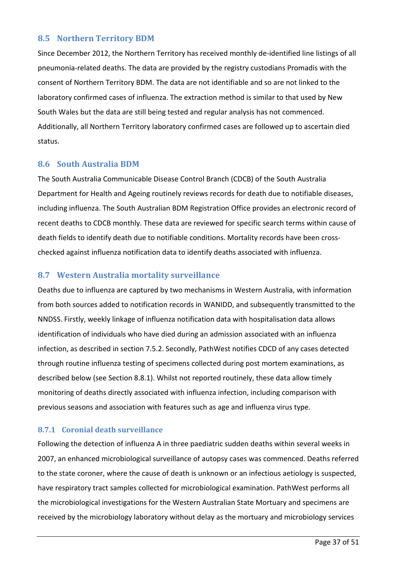#### **8.5 Northern Territory BDM**

Since December 2012, the Northern Territory has received monthly de-identified line listings of all pneumonia-related deaths. The data are provided by the registry custodians Promadis with the consent of Northern Territory BDM. The data are not identifiable and so are not linked to the laboratory confirmed cases of influenza. The extraction method is similar to that used by New South Wales but the data are still being tested and regular analysis has not commenced. Additionally, all Northern Territory laboratory confirmed cases are followed up to ascertain died status.

#### **8.6 South Australia BDM**

The South Australia Communicable Disease Control Branch (CDCB) of the South Australia Department for Health and Ageing routinely reviews records for death due to notifiable diseases, including influenza. The South Australian BDM Registration Office provides an electronic record of recent deaths to CDCB monthly. These data are reviewed for specific search terms within cause of death fields to identify death due to notifiable conditions. Mortality records have been crosschecked against influenza notification data to identify deaths associated with influenza.

#### **8.7 Western Australia mortality surveillance**

Deaths due to influenza are captured by two mechanisms in Western Australia, with information from both sources added to notification records in WANIDD, and subsequently transmitted to the NNDSS. Firstly, weekly linkage of influenza notification data with hospitalisation data allows identification of individuals who have died during an admission associated with an influenza infection, as described in section 7.5.2. Secondly, PathWest notifies CDCD of any cases detected through routine influenza testing of specimens collected during post mortem examinations, as described below (see Section 8.8.1). Whilst not reported routinely, these data allow timely monitoring of deaths directly associated with influenza infection, including comparison with previous seasons and association with features such as age and influenza virus type.

#### **8.7.1 Coronial death surveillance**

Following the detection of influenza A in three paediatric sudden deaths within several weeks in 2007, an enhanced microbiological surveillance of autopsy cases was commenced. Deaths referred to the state coroner, where the cause of death is unknown or an infectious aetiology is suspected, have respiratory tract samples collected for microbiological examination. PathWest performs all the microbiological investigations for the Western Australian State Mortuary and specimens are received by the microbiology laboratory without delay as the mortuary and microbiology services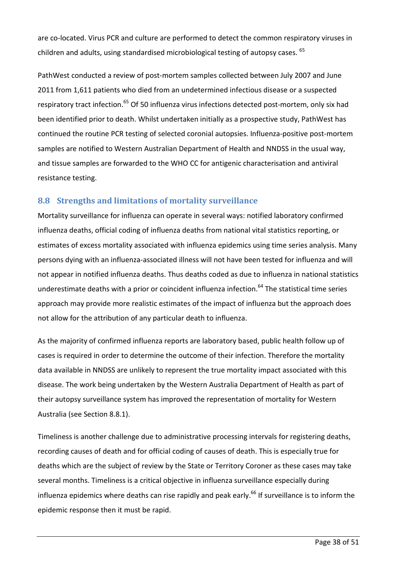are co-located. Virus PCR and culture are performed to detect the common respiratory viruses in children and adults, using standardised microbiological testing of autopsy cases. <sup>[65](#page-50-3)</sup>

PathWest conducted a review of post-mortem samples collected between July 2007 and June 2011 from 1,611 patients who died from an undetermined infectious disease or a suspected respiratory tract infection.<sup>[65](#page-50-3)</sup> Of 50 influenza virus infections detected post-mortem, only six had been identified prior to death. Whilst undertaken initially as a prospective study, PathWest has continued the routine PCR testing of selected coronial autopsies. Influenza-positive post-mortem samples are notified to Western Australian Department of Health and NNDSS in the usual way, and tissue samples are forwarded to the WHO CC for antigenic characterisation and antiviral resistance testing.

#### **8.8 Strengths and limitations of mortality surveillance**

Mortality surveillance for influenza can operate in several ways: notified laboratory confirmed influenza deaths, official coding of influenza deaths from national vital statistics reporting, or estimates of excess mortality associated with influenza epidemics using time series analysis. Many persons dying with an influenza-associated illness will not have been tested for influenza and will not appear in notified influenza deaths. Thus deaths coded as due to influenza in national statistics underestimate deaths with a prior or coincident influenza infection. [64](#page-50-2) The statistical time series approach may provide more realistic estimates of the impact of influenza but the approach does not allow for the attribution of any particular death to influenza.

As the majority of confirmed influenza reports are laboratory based, public health follow up of cases is required in order to determine the outcome of their infection. Therefore the mortality data available in NNDSS are unlikely to represent the true mortality impact associated with this disease. The work being undertaken by the Western Australia Department of Health as part of their autopsy surveillance system has improved the representation of mortality for Western Australia (see Section 8.8.1).

Timeliness is another challenge due to administrative processing intervals for registering deaths, recording causes of death and for official coding of causes of death. This is especially true for deaths which are the subject of review by the State or Territory Coroner as these cases may take several months. Timeliness is a critical objective in influenza surveillance especially during influenza epidemics where deaths can rise rapidly and peak early.<sup>[66](#page-50-4)</sup> If surveillance is to inform the epidemic response then it must be rapid.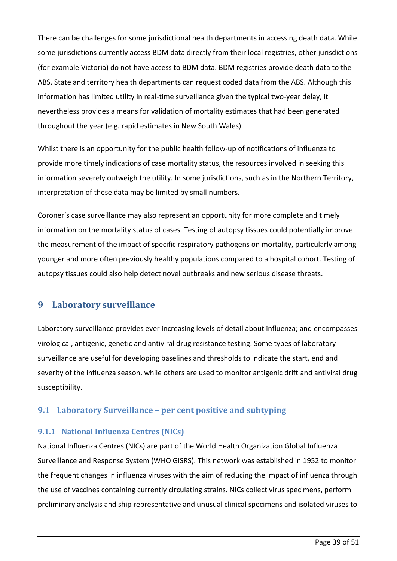There can be challenges for some jurisdictional health departments in accessing death data. While some jurisdictions currently access BDM data directly from their local registries, other jurisdictions (for example Victoria) do not have access to BDM data. BDM registries provide death data to the ABS. State and territory health departments can request coded data from the ABS. Although this information has limited utility in real-time surveillance given the typical two-year delay, it nevertheless provides a means for validation of mortality estimates that had been generated throughout the year (e.g. rapid estimates in New South Wales).

Whilst there is an opportunity for the public health follow-up of notifications of influenza to provide more timely indications of case mortality status, the resources involved in seeking this information severely outweigh the utility. In some jurisdictions, such as in the Northern Territory, interpretation of these data may be limited by small numbers.

Coroner's case surveillance may also represent an opportunity for more complete and timely information on the mortality status of cases. Testing of autopsy tissues could potentially improve the measurement of the impact of specific respiratory pathogens on mortality, particularly among younger and more often previously healthy populations compared to a hospital cohort. Testing of autopsy tissues could also help detect novel outbreaks and new serious disease threats.

#### <span id="page-38-0"></span>**9 Laboratory surveillance**

Laboratory surveillance provides ever increasing levels of detail about influenza; and encompasses virological, antigenic, genetic and antiviral drug resistance testing. Some types of laboratory surveillance are useful for developing baselines and thresholds to indicate the start, end and severity of the influenza season, while others are used to monitor antigenic drift and antiviral drug susceptibility.

#### **9.1 Laboratory Surveillance – per cent positive and subtyping**

#### **9.1.1 National Influenza Centres (NICs)**

National Influenza Centres (NICs) are part of the World Health Organization Global Influenza Surveillance and Response System (WHO GISRS). This network was established in 1952 to monitor the frequent changes in influenza viruses with the aim of reducing the impact of influenza through the use of vaccines containing currently circulating strains. NICs collect virus specimens, perform preliminary analysis and ship representative and unusual clinical specimens and isolated viruses to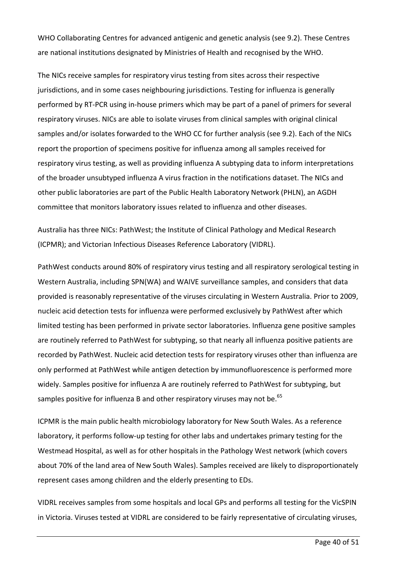WHO Collaborating Centres for advanced antigenic and genetic analysis (see 9.2). These Centres are national institutions designated by Ministries of Health and recognised by the WHO.

The NICs receive samples for respiratory virus testing from sites across their respective jurisdictions, and in some cases neighbouring jurisdictions. Testing for influenza is generally performed by RT-PCR using in-house primers which may be part of a panel of primers for several respiratory viruses. NICs are able to isolate viruses from clinical samples with original clinical samples and/or isolates forwarded to the WHO CC for further analysis (see 9.2). Each of the NICs report the proportion of specimens positive for influenza among all samples received for respiratory virus testing, as well as providing influenza A subtyping data to inform interpretations of the broader unsubtyped influenza A virus fraction in the notifications dataset. The NICs and other public laboratories are part of the Public Health Laboratory Network (PHLN), an AGDH committee that monitors laboratory issues related to influenza and other diseases.

Australia has three NICs: PathWest; the Institute of Clinical Pathology and Medical Research (ICPMR); and Victorian Infectious Diseases Reference Laboratory (VIDRL).

PathWest conducts around 80% of respiratory virus testing and all respiratory serological testing in Western Australia, including SPN(WA) and WAIVE surveillance samples, and considers that data provided is reasonably representative of the viruses circulating in Western Australia. Prior to 2009, nucleic acid detection tests for influenza were performed exclusively by PathWest after which limited testing has been performed in private sector laboratories. Influenza gene positive samples are routinely referred to PathWest for subtyping, so that nearly all influenza positive patients are recorded by PathWest. Nucleic acid detection tests for respiratory viruses other than influenza are only performed at PathWest while antigen detection by immunofluorescence is performed more widely. Samples positive for influenza A are routinely referred to PathWest for subtyping, but samples positive for influenza B and other respiratory viruses may not be.<sup>[65](#page-50-3)</sup>

ICPMR is the main public health microbiology laboratory for New South Wales. As a reference laboratory, it performs follow-up testing for other labs and undertakes primary testing for the Westmead Hospital, as well as for other hospitals in the Pathology West network (which covers about 70% of the land area of New South Wales). Samples received are likely to disproportionately represent cases among children and the elderly presenting to EDs.

VIDRL receives samples from some hospitals and local GPs and performs all testing for the VicSPIN in Victoria. Viruses tested at VIDRL are considered to be fairly representative of circulating viruses,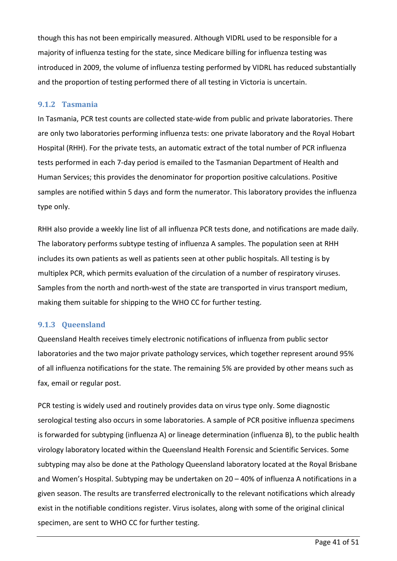though this has not been empirically measured. Although VIDRL used to be responsible for a majority of influenza testing for the state, since Medicare billing for influenza testing was introduced in 2009, the volume of influenza testing performed by VIDRL has reduced substantially and the proportion of testing performed there of all testing in Victoria is uncertain.

#### **9.1.2 Tasmania**

In Tasmania, PCR test counts are collected state-wide from public and private laboratories. There are only two laboratories performing influenza tests: one private laboratory and the Royal Hobart Hospital (RHH). For the private tests, an automatic extract of the total number of PCR influenza tests performed in each 7-day period is emailed to the Tasmanian Department of Health and Human Services; this provides the denominator for proportion positive calculations. Positive samples are notified within 5 days and form the numerator. This laboratory provides the influenza type only.

RHH also provide a weekly line list of all influenza PCR tests done, and notifications are made daily. The laboratory performs subtype testing of influenza A samples. The population seen at RHH includes its own patients as well as patients seen at other public hospitals. All testing is by multiplex PCR, which permits evaluation of the circulation of a number of respiratory viruses. Samples from the north and north-west of the state are transported in virus transport medium, making them suitable for shipping to the WHO CC for further testing.

#### **9.1.3 Queensland**

Queensland Health receives timely electronic notifications of influenza from public sector laboratories and the two major private pathology services, which together represent around 95% of all influenza notifications for the state. The remaining 5% are provided by other means such as fax, email or regular post.

PCR testing is widely used and routinely provides data on virus type only. Some diagnostic serological testing also occurs in some laboratories. A sample of PCR positive influenza specimens is forwarded for subtyping (influenza A) or lineage determination (influenza B), to the public health virology laboratory located within the Queensland Health Forensic and Scientific Services. Some subtyping may also be done at the Pathology Queensland laboratory located at the Royal Brisbane and Women's Hospital. Subtyping may be undertaken on 20 – 40% of influenza A notifications in a given season. The results are transferred electronically to the relevant notifications which already exist in the notifiable conditions register. Virus isolates, along with some of the original clinical specimen, are sent to WHO CC for further testing.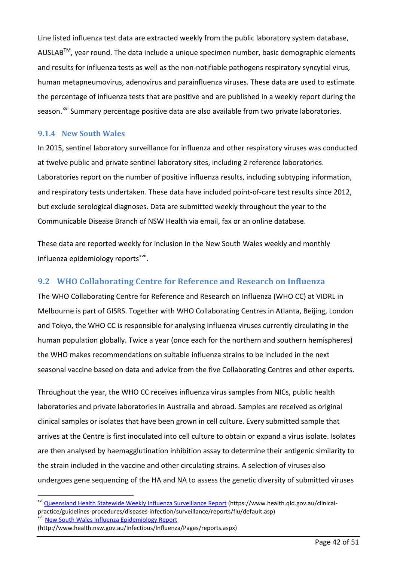Line listed influenza test data are extracted weekly from the public laboratory system database,  $AUSLAB<sup>TM</sup>$ , year round. The data include a unique specimen number, basic demographic elements and results for influenza tests as well as the non-notifiable pathogens respiratory syncytial virus, human metapneumovirus, adenovirus and parainfluenza viruses. These data are used to estimate the percentage of influenza tests that are positive and are published in a weekly report during the season.<sup>[xvi](#page-41-0)</sup> Summary percentage positive data are also available from two private laboratories.

#### **9.1.4 New South Wales**

In 2015, sentinel laboratory surveillance for influenza and other respiratory viruses was conducted at twelve public and private sentinel laboratory sites, including 2 reference laboratories. Laboratories report on the number of positive influenza results, including subtyping information, and respiratory tests undertaken. These data have included point-of-care test results since 2012, but exclude serological diagnoses. Data are submitted weekly throughout the year to the Communicable Disease Branch of NSW Health via email, fax or an online database.

These data are reported weekly for inclusion in the New South Wales weekly and monthly influenza epidemiology reports<sup>xvii</sup>.

#### **9.2 WHO Collaborating Centre for Reference and Research on Influenza**

The WHO Collaborating Centre for Reference and Research on Influenza (WHO CC) at VIDRL in Melbourne is part of GISRS. Together with WHO Collaborating Centres in Atlanta, Beijing, London and Tokyo, the WHO CC is responsible for analysing influenza viruses currently circulating in the human population globally. Twice a year (once each for the northern and southern hemispheres) the WHO makes recommendations on suitable influenza strains to be included in the next seasonal vaccine based on data and advice from the five Collaborating Centres and other experts.

Throughout the year, the WHO CC receives influenza virus samples from NICs, public health laboratories and private laboratories in Australia and abroad. Samples are received as original clinical samples or isolates that have been grown in cell culture. Every submitted sample that arrives at the Centre is first inoculated into cell culture to obtain or expand a virus isolate. Isolates are then analysed by haemagglutination inhibition assay to determine their antigenic similarity to the strain included in the vaccine and other circulating strains. A selection of viruses also undergoes gene sequencing of the HA and NA to assess the genetic diversity of submitted viruses

1

<span id="page-41-0"></span>xvi [Queensland Health Statewide Weekly Influenza Surveillance Report](https://www.health.qld.gov.au/clinical-practice/guidelines-procedures/diseases-infection/surveillance/reports/flu/default.asp) (https://www.health.qld.gov.au/clinical-practice/guidelines-procedures/diseases-infection/surveillance/reports/flu/default.asp)<br><sup>xvii</sup> [New South Wales Influenza Epidemiology Report](http://www.health.nsw.gov.au/Infectious/Influenza/Pages/reports.aspx)

<span id="page-41-1"></span><sup>(</sup>http://www.health.nsw.gov.au/Infectious/Influenza/Pages/reports.aspx)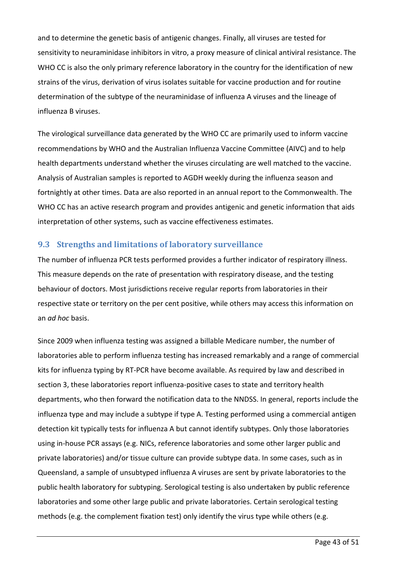and to determine the genetic basis of antigenic changes. Finally, all viruses are tested for sensitivity to neuraminidase inhibitors in vitro, a proxy measure of clinical antiviral resistance. The WHO CC is also the only primary reference laboratory in the country for the identification of new strains of the virus, derivation of virus isolates suitable for vaccine production and for routine determination of the subtype of the neuraminidase of influenza A viruses and the lineage of influenza B viruses.

The virological surveillance data generated by the WHO CC are primarily used to inform vaccine recommendations by WHO and the Australian Influenza Vaccine Committee (AIVC) and to help health departments understand whether the viruses circulating are well matched to the vaccine. Analysis of Australian samples is reported to AGDH weekly during the influenza season and fortnightly at other times. Data are also reported in an annual report to the Commonwealth. The WHO CC has an active research program and provides antigenic and genetic information that aids interpretation of other systems, such as vaccine effectiveness estimates.

#### **9.3 Strengths and limitations of laboratory surveillance**

The number of influenza PCR tests performed provides a further indicator of respiratory illness. This measure depends on the rate of presentation with respiratory disease, and the testing behaviour of doctors. Most jurisdictions receive regular reports from laboratories in their respective state or territory on the per cent positive, while others may access this information on an *ad hoc* basis.

Since 2009 when influenza testing was assigned a billable Medicare number, the number of laboratories able to perform influenza testing has increased remarkably and a range of commercial kits for influenza typing by RT-PCR have become available. As required by law and described in section 3, these laboratories report influenza-positive cases to state and territory health departments, who then forward the notification data to the NNDSS. In general, reports include the influenza type and may include a subtype if type A. Testing performed using a commercial antigen detection kit typically tests for influenza A but cannot identify subtypes. Only those laboratories using in-house PCR assays (e.g. NICs, reference laboratories and some other larger public and private laboratories) and/or tissue culture can provide subtype data. In some cases, such as in Queensland, a sample of unsubtyped influenza A viruses are sent by private laboratories to the public health laboratory for subtyping. Serological testing is also undertaken by public reference laboratories and some other large public and private laboratories. Certain serological testing methods (e.g. the complement fixation test) only identify the virus type while others (e.g.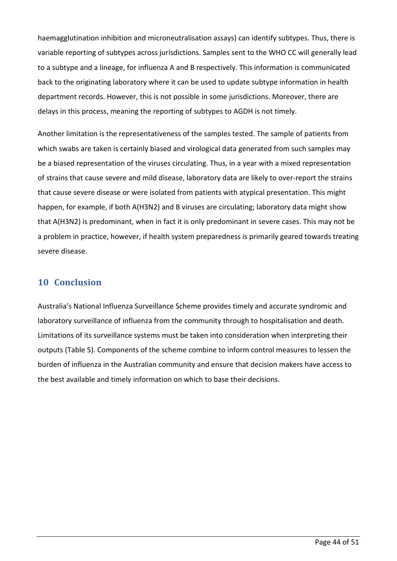haemagglutination inhibition and microneutralisation assays) can identify subtypes. Thus, there is variable reporting of subtypes across jurisdictions. Samples sent to the WHO CC will generally lead to a subtype and a lineage, for influenza A and B respectively. This information is communicated back to the originating laboratory where it can be used to update subtype information in health department records. However, this is not possible in some jurisdictions. Moreover, there are delays in this process, meaning the reporting of subtypes to AGDH is not timely.

Another limitation is the representativeness of the samples tested. The sample of patients from which swabs are taken is certainly biased and virological data generated from such samples may be a biased representation of the viruses circulating. Thus, in a year with a mixed representation of strains that cause severe and mild disease, laboratory data are likely to over-report the strains that cause severe disease or were isolated from patients with atypical presentation. This might happen, for example, if both A(H3N2) and B viruses are circulating; laboratory data might show that A(H3N2) is predominant, when in fact it is only predominant in severe cases. This may not be a problem in practice, however, if health system preparedness is primarily geared towards treating severe disease.

#### <span id="page-43-0"></span>**10 Conclusion**

Australia's National Influenza Surveillance Scheme provides timely and accurate syndromic and laboratory surveillance of influenza from the community through to hospitalisation and death. Limitations of its surveillance systems must be taken into consideration when interpreting their outputs [\(Table 5\)](#page-44-0). Components of the scheme combine to inform control measures to lessen the burden of influenza in the Australian community and ensure that decision makers have access to the best available and timely information on which to base their decisions.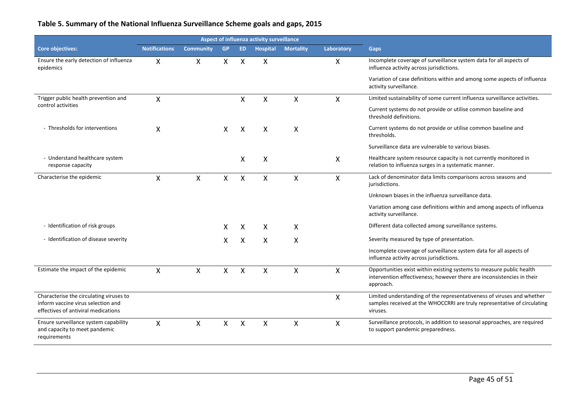#### **Table 5. Summary of the National Influenza Surveillance Scheme goals and gaps, 2015**

<span id="page-44-0"></span>

|                                                                                                                      | Aspect of influenza activity surveillance |                           |           |              |                           |                  |            |                                                                                                                                                                |
|----------------------------------------------------------------------------------------------------------------------|-------------------------------------------|---------------------------|-----------|--------------|---------------------------|------------------|------------|----------------------------------------------------------------------------------------------------------------------------------------------------------------|
| <b>Core objectives:</b>                                                                                              | <b>Notifications</b>                      | <b>Community</b>          | <b>GP</b> | <b>ED</b>    | <b>Hospital</b>           | <b>Mortality</b> | Laboratory | <b>Gaps</b>                                                                                                                                                    |
| Ensure the early detection of influenza<br>epidemics                                                                 | X                                         | X                         | X         | X            | X                         |                  | X          | Incomplete coverage of surveillance system data for all aspects of<br>influenza activity across jurisdictions.                                                 |
|                                                                                                                      |                                           |                           |           |              |                           |                  |            | Variation of case definitions within and among some aspects of influenza<br>activity surveillance.                                                             |
| Trigger public health prevention and                                                                                 | X                                         |                           |           | $\mathsf{X}$ | X                         | X                | X          | Limited sustainability of some current influenza surveillance activities.                                                                                      |
| control activities                                                                                                   |                                           |                           |           |              |                           |                  |            | Current systems do not provide or utilise common baseline and<br>threshold definitions.                                                                        |
| - Thresholds for interventions                                                                                       | X                                         |                           | X         | X            | $\boldsymbol{\mathsf{X}}$ | X                |            | Current systems do not provide or utilise common baseline and<br>thresholds.                                                                                   |
|                                                                                                                      |                                           |                           |           |              |                           |                  |            | Surveillance data are vulnerable to various biases.                                                                                                            |
| - Understand healthcare system<br>response capacity                                                                  |                                           |                           |           | X            | $\boldsymbol{\mathsf{X}}$ |                  | X          | Healthcare system resource capacity is not currently monitored in<br>relation to influenza surges in a systematic manner.                                      |
| Characterise the epidemic                                                                                            | X                                         | X                         | X         | X            | X                         | $\mathsf{X}$     | X          | Lack of denominator data limits comparisons across seasons and<br>jurisdictions.                                                                               |
|                                                                                                                      |                                           |                           |           |              |                           |                  |            | Unknown biases in the influenza surveillance data.                                                                                                             |
|                                                                                                                      |                                           |                           |           |              |                           |                  |            | Variation among case definitions within and among aspects of influenza<br>activity surveillance.                                                               |
| - Identification of risk groups                                                                                      |                                           |                           | X         | X            | X                         | X                |            | Different data collected among surveillance systems.                                                                                                           |
| - Identification of disease severity                                                                                 |                                           |                           | X         | X            | X                         | X                |            | Severity measured by type of presentation.                                                                                                                     |
|                                                                                                                      |                                           |                           |           |              |                           |                  |            | Incomplete coverage of surveillance system data for all aspects of<br>influenza activity across jurisdictions.                                                 |
| Estimate the impact of the epidemic                                                                                  | $\mathsf{X}$                              | $\boldsymbol{\mathsf{X}}$ | X         | $\mathsf{x}$ | $\mathsf{x}$              | $\mathsf{X}$     | X          | Opportunities exist within existing systems to measure public health<br>intervention effectiveness; however there are inconsistencies in their<br>approach.    |
| Characterise the circulating viruses to<br>inform vaccine virus selection and<br>effectives of antiviral medications |                                           |                           |           |              |                           |                  | X          | Limited understanding of the representativeness of viruses and whether<br>samples received at the WHOCCRRI are truly representative of circulating<br>viruses. |
| Ensure surveillance system capability<br>and capacity to meet pandemic<br>requirements                               | X                                         | X                         | X         | X            | X                         | X                | X          | Surveillance protocols, in addition to seasonal approaches, are required<br>to support pandemic preparedness.                                                  |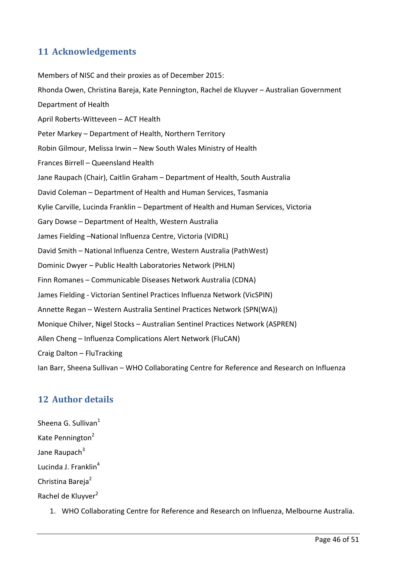# <span id="page-45-0"></span>**11 Acknowledgements**

Members of NISC and their proxies as of December 2015: Rhonda Owen, Christina Bareja, Kate Pennington, Rachel de Kluyver – Australian Government Department of Health April Roberts-Witteveen – ACT Health Peter Markey – Department of Health, Northern Territory Robin Gilmour, Melissa Irwin – New South Wales Ministry of Health Frances Birrell – Queensland Health Jane Raupach (Chair), Caitlin Graham – Department of Health, South Australia David Coleman – Department of Health and Human Services, Tasmania Kylie Carville, Lucinda Franklin – Department of Health and Human Services, Victoria Gary Dowse – Department of Health, Western Australia James Fielding –National Influenza Centre, Victoria (VIDRL) David Smith – National Influenza Centre, Western Australia (PathWest) Dominic Dwyer – Public Health Laboratories Network (PHLN) Finn Romanes – Communicable Diseases Network Australia (CDNA) James Fielding - Victorian Sentinel Practices Influenza Network (VicSPIN) Annette Regan – Western Australia Sentinel Practices Network (SPN(WA)) Monique Chilver, Nigel Stocks – Australian Sentinel Practices Network (ASPREN) Allen Cheng – Influenza Complications Alert Network (FluCAN) Craig Dalton – FluTracking Ian Barr, Sheena Sullivan – WHO Collaborating Centre for Reference and Research on Influenza

# <span id="page-45-1"></span>**12 Author details**

Sheena G. Sullivan<sup>1</sup> Kate Pennington<sup>2</sup> Jane Raupach $3$ Lucinda J. Franklin<sup>4</sup> Christina Bareja<sup>2</sup> Rachel de Kluyver<sup>2</sup>

1. WHO Collaborating Centre for Reference and Research on Influenza, Melbourne Australia.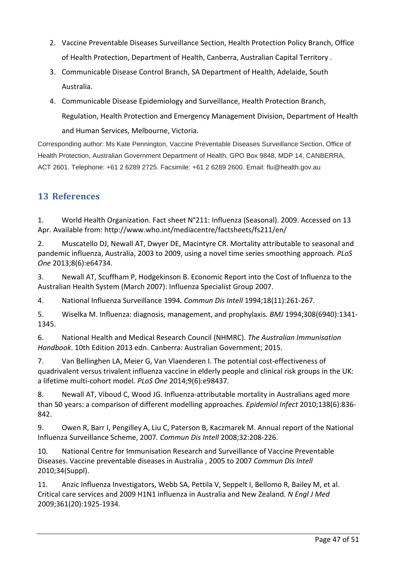- 2. Vaccine Preventable Diseases Surveillance Section, Health Protection Policy Branch, Office of Health Protection, Department of Health, Canberra, Australian Capital Territory .
- 3. Communicable Disease Control Branch, SA Department of Health, Adelaide, South Australia.
- 4. Communicable Disease Epidemiology and Surveillance, Health Protection Branch, Regulation, Health Protection and Emergency Management Division, Department of Health and Human Services, Melbourne, Victoria.

Corresponding author: Ms Kate Pennington, Vaccine Preventable Diseases Surveillance Section, Office of Health Protection, Australian Government Department of Health, GPO Box 9848, MDP 14, CANBERRA, ACT 2601. Telephone: +61 2 6289 2725. Facsimile: +61 2 6289 2600. Email: flu@health.gov.au

# <span id="page-46-0"></span>**13 References**

<span id="page-46-1"></span>1. World Health Organization. Fact sheet N°211: Influenza (Seasonal). 2009. Accessed on 13 Apr. Available from: http://www.who.int/mediacentre/factsheets/fs211/en/

<span id="page-46-2"></span>2. Muscatello DJ, Newall AT, Dwyer DE, Macintyre CR. Mortality attributable to seasonal and pandemic influenza, Australia, 2003 to 2009, using a novel time series smoothing approach*. PLoS One* 2013;8(6):e64734.

<span id="page-46-3"></span>3. Newall AT, Scuffham P, Hodgekinson B. Economic Report into the Cost of Influenza to the Australian Health System (March 2007): Influenza Specialist Group 2007.

<span id="page-46-4"></span>4. National Influenza Surveillance 1994*. Commun Dis Intell* 1994;18(11):261-267.

<span id="page-46-5"></span>5. Wiselka M. Influenza: diagnosis, management, and prophylaxis*. BMJ* 1994;308(6940):1341- 1345.

<span id="page-46-6"></span>6. National Health and Medical Research Council (NHMRC). *The Australian Immunisation Handbook*. 10th Edition 2013 edn. Canberra: Australian Government; 2015.

<span id="page-46-7"></span>7. Van Bellinghen LA, Meier G, Van Vlaenderen I. The potential cost-effectiveness of quadrivalent versus trivalent influenza vaccine in elderly people and clinical risk groups in the UK: a lifetime multi-cohort model*. PLoS One* 2014;9(6):e98437.

<span id="page-46-8"></span>8. Newall AT, Viboud C, Wood JG. Influenza-attributable mortality in Australians aged more than 50 years: a comparison of different modelling approaches*. Epidemiol Infect* 2010;138(6):836- 842.

<span id="page-46-9"></span>9. Owen R, Barr I, Pengilley A, Liu C, Paterson B, Kaczmarek M. Annual report of the National Influenza Surveillance Scheme, 2007*. Commun Dis Intell* 2008;32:208-226.

<span id="page-46-10"></span>10. National Centre for Immunisation Research and Surveillance of Vaccine Preventable Diseases. Vaccine preventable diseases in Australia , 2005 to 2007 *Commun Dis Intell*  2010;34(Suppl).

<span id="page-46-11"></span>11. Anzic Influenza Investigators, Webb SA, Pettila V, Seppelt I, Bellomo R, Bailey M, et al. Critical care services and 2009 H1N1 influenza in Australia and New Zealand*. N Engl J Med* 2009;361(20):1925-1934.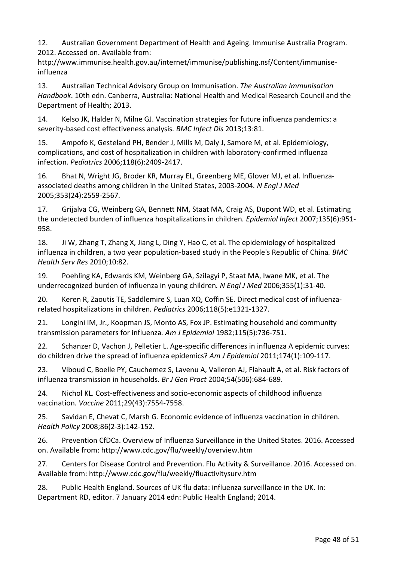<span id="page-47-0"></span>12. Australian Government Department of Health and Ageing. Immunise Australia Program. 2012. Accessed on. Available from:

http://www.immunise.health.gov.au/internet/immunise/publishing.nsf/Content/immuniseinfluenza

<span id="page-47-1"></span>13. Australian Technical Advisory Group on Immunisation. *The Australian Immunisation Handbook*. 10th edn. Canberra, Australia: National Health and Medical Research Council and the Department of Health; 2013.

<span id="page-47-2"></span>14. Kelso JK, Halder N, Milne GJ. Vaccination strategies for future influenza pandemics: a severity-based cost effectiveness analysis*. BMC Infect Dis* 2013;13:81.

<span id="page-47-3"></span>15. Ampofo K, Gesteland PH, Bender J, Mills M, Daly J, Samore M, et al. Epidemiology, complications, and cost of hospitalization in children with laboratory-confirmed influenza infection*. Pediatrics* 2006;118(6):2409-2417.

<span id="page-47-4"></span>16. Bhat N, Wright JG, Broder KR, Murray EL, Greenberg ME, Glover MJ, et al. Influenzaassociated deaths among children in the United States, 2003-2004*. N Engl J Med* 2005;353(24):2559-2567.

<span id="page-47-5"></span>17. Grijalva CG, Weinberg GA, Bennett NM, Staat MA, Craig AS, Dupont WD, et al. Estimating the undetected burden of influenza hospitalizations in children*. Epidemiol Infect* 2007;135(6):951- 958.

<span id="page-47-6"></span>18. Ji W, Zhang T, Zhang X, Jiang L, Ding Y, Hao C, et al. The epidemiology of hospitalized influenza in children, a two year population-based study in the People's Republic of China*. BMC Health Serv Res* 2010;10:82.

<span id="page-47-7"></span>19. Poehling KA, Edwards KM, Weinberg GA, Szilagyi P, Staat MA, Iwane MK, et al. The underrecognized burden of influenza in young children*. N Engl J Med* 2006;355(1):31-40.

<span id="page-47-8"></span>20. Keren R, Zaoutis TE, Saddlemire S, Luan XQ, Coffin SE. Direct medical cost of influenzarelated hospitalizations in children*. Pediatrics* 2006;118(5):e1321-1327.

<span id="page-47-9"></span>21. Longini IM, Jr., Koopman JS, Monto AS, Fox JP. Estimating household and community transmission parameters for influenza*. Am J Epidemiol* 1982;115(5):736-751.

<span id="page-47-10"></span>22. Schanzer D, Vachon J, Pelletier L. Age-specific differences in influenza A epidemic curves: do children drive the spread of influenza epidemics? *Am J Epidemiol* 2011;174(1):109-117.

<span id="page-47-11"></span>23. Viboud C, Boelle PY, Cauchemez S, Lavenu A, Valleron AJ, Flahault A, et al. Risk factors of influenza transmission in households*. Br J Gen Pract* 2004;54(506):684-689.

<span id="page-47-12"></span>24. Nichol KL. Cost-effectiveness and socio-economic aspects of childhood influenza vaccination*. Vaccine* 2011;29(43):7554-7558.

<span id="page-47-13"></span>25. Savidan E, Chevat C, Marsh G. Economic evidence of influenza vaccination in children*. Health Policy* 2008;86(2-3):142-152.

<span id="page-47-14"></span>26. Prevention CfDCa. Overview of Influenza Surveillance in the United States. 2016. Accessed on. Available from: http://www.cdc.gov/flu/weekly/overview.htm

<span id="page-47-15"></span>27. Centers for Disease Control and Prevention. Flu Activity & Surveillance. 2016. Accessed on. Available from: http://www.cdc.gov/flu/weekly/fluactivitysurv.htm

<span id="page-47-16"></span>28. Public Health England. Sources of UK flu data: influenza surveillance in the UK. In: Department RD, editor. 7 January 2014 edn: Public Health England; 2014.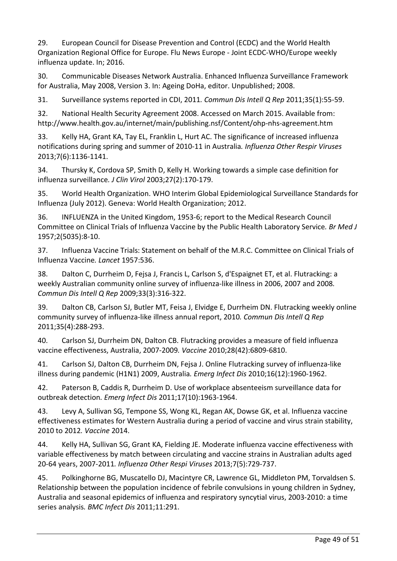<span id="page-48-0"></span>29. European Council for Disease Prevention and Control (ECDC) and the World Health Organization Regional Office for Europe. Flu News Europe - Joint ECDC-WHO/Europe weekly influenza update. In; 2016.

<span id="page-48-1"></span>30. Communicable Diseases Network Australia. Enhanced Influenza Surveillance Framework for Australia, May 2008, Version 3. In: Ageing DoHa, editor. Unpublished; 2008.

<span id="page-48-2"></span>31. Surveillance systems reported in CDI, 2011*. Commun Dis Intell Q Rep* 2011;35(1):55-59.

<span id="page-48-3"></span>32. National Health Security Agreement 2008. Accessed on March 2015. Available from: http://www.health.gov.au/internet/main/publishing.nsf/Content/ohp-nhs-agreement.htm

<span id="page-48-4"></span>33. Kelly HA, Grant KA, Tay EL, Franklin L, Hurt AC. The significance of increased influenza notifications during spring and summer of 2010-11 in Australia*. Influenza Other Respir Viruses* 2013;7(6):1136-1141.

<span id="page-48-5"></span>34. Thursky K, Cordova SP, Smith D, Kelly H. Working towards a simple case definition for influenza surveillance*. J Clin Virol* 2003;27(2):170-179.

<span id="page-48-6"></span>35. World Health Organization. WHO Interim Global Epidemiological Surveillance Standards for Influenza (July 2012). Geneva: World Health Organization; 2012.

<span id="page-48-7"></span>36. INFLUENZA in the United Kingdom, 1953-6; report to the Medical Research Council Committee on Clinical Trials of Influenza Vaccine by the Public Health Laboratory Service*. Br Med J* 1957;2(5035):8-10.

<span id="page-48-8"></span>37. Influenza Vaccine Trials: Statement on behalf of the M.R.C. Committee on Clinical Trials of Influenza Vaccine*. Lancet* 1957:536.

<span id="page-48-9"></span>38. Dalton C, Durrheim D, Fejsa J, Francis L, Carlson S, d'Espaignet ET, et al. Flutracking: a weekly Australian community online survey of influenza-like illness in 2006, 2007 and 2008*. Commun Dis Intell Q Rep* 2009;33(3):316-322.

<span id="page-48-10"></span>39. Dalton CB, Carlson SJ, Butler MT, Feisa J, Elvidge E, Durrheim DN. Flutracking weekly online community survey of influenza-like illness annual report, 2010*. Commun Dis Intell Q Rep* 2011;35(4):288-293.

<span id="page-48-11"></span>40. Carlson SJ, Durrheim DN, Dalton CB. Flutracking provides a measure of field influenza vaccine effectiveness, Australia, 2007-2009*. Vaccine* 2010;28(42):6809-6810.

<span id="page-48-12"></span>41. Carlson SJ, Dalton CB, Durrheim DN, Fejsa J. Online Flutracking survey of influenza-like illness during pandemic (H1N1) 2009, Australia*. Emerg Infect Dis* 2010;16(12):1960-1962.

<span id="page-48-13"></span>42. Paterson B, Caddis R, Durrheim D. Use of workplace absenteeism surveillance data for outbreak detection*. Emerg Infect Dis* 2011;17(10):1963-1964.

<span id="page-48-14"></span>43. Levy A, Sullivan SG, Tempone SS, Wong KL, Regan AK, Dowse GK, et al. Influenza vaccine effectiveness estimates for Western Australia during a period of vaccine and virus strain stability, 2010 to 2012*. Vaccine* 2014.

<span id="page-48-15"></span>44. Kelly HA, Sullivan SG, Grant KA, Fielding JE. Moderate influenza vaccine effectiveness with variable effectiveness by match between circulating and vaccine strains in Australian adults aged 20-64 years, 2007-2011*. Influenza Other Respi Viruses* 2013;7(5):729-737.

<span id="page-48-16"></span>45. Polkinghorne BG, Muscatello DJ, Macintyre CR, Lawrence GL, Middleton PM, Torvaldsen S. Relationship between the population incidence of febrile convulsions in young children in Sydney, Australia and seasonal epidemics of influenza and respiratory syncytial virus, 2003-2010: a time series analysis*. BMC Infect Dis* 2011;11:291.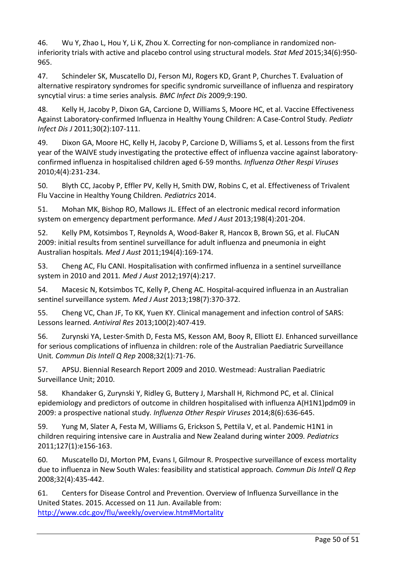<span id="page-49-0"></span>46. Wu Y, Zhao L, Hou Y, Li K, Zhou X. Correcting for non-compliance in randomized noninferiority trials with active and placebo control using structural models*. Stat Med* 2015;34(6):950- 965.

<span id="page-49-1"></span>47. Schindeler SK, Muscatello DJ, Ferson MJ, Rogers KD, Grant P, Churches T. Evaluation of alternative respiratory syndromes for specific syndromic surveillance of influenza and respiratory syncytial virus: a time series analysis*. BMC Infect Dis* 2009;9:190.

<span id="page-49-2"></span>48. Kelly H, Jacoby P, Dixon GA, Carcione D, Williams S, Moore HC, et al. Vaccine Effectiveness Against Laboratory-confirmed Influenza in Healthy Young Children: A Case-Control Study*. Pediatr Infect Dis J* 2011;30(2):107-111.

<span id="page-49-3"></span>49. Dixon GA, Moore HC, Kelly H, Jacoby P, Carcione D, Williams S, et al. Lessons from the first year of the WAIVE study investigating the protective effect of influenza vaccine against laboratoryconfirmed influenza in hospitalised children aged 6-59 months*. Influenza Other Respi Viruses* 2010;4(4):231-234.

<span id="page-49-4"></span>50. Blyth CC, Jacoby P, Effler PV, Kelly H, Smith DW, Robins C, et al. Effectiveness of Trivalent Flu Vaccine in Healthy Young Children*. Pediatrics* 2014.

<span id="page-49-5"></span>51. Mohan MK, Bishop RO, Mallows JL. Effect of an electronic medical record information system on emergency department performance*. Med J Aust* 2013;198(4):201-204.

<span id="page-49-6"></span>52. Kelly PM, Kotsimbos T, Reynolds A, Wood-Baker R, Hancox B, Brown SG, et al. FluCAN 2009: initial results from sentinel surveillance for adult influenza and pneumonia in eight Australian hospitals*. Med J Aust* 2011;194(4):169-174.

<span id="page-49-7"></span>53. Cheng AC, Flu CANI. Hospitalisation with confirmed influenza in a sentinel surveillance system in 2010 and 2011*. Med J Aust* 2012;197(4):217.

<span id="page-49-8"></span>54. Macesic N, Kotsimbos TC, Kelly P, Cheng AC. Hospital-acquired influenza in an Australian sentinel surveillance system*. Med J Aust* 2013;198(7):370-372.

<span id="page-49-9"></span>55. Cheng VC, Chan JF, To KK, Yuen KY. Clinical management and infection control of SARS: Lessons learned*. Antiviral Res* 2013;100(2):407-419.

<span id="page-49-10"></span>56. Zurynski YA, Lester-Smith D, Festa MS, Kesson AM, Booy R, Elliott EJ. Enhanced surveillance for serious complications of influenza in children: role of the Australian Paediatric Surveillance Unit*. Commun Dis Intell Q Rep* 2008;32(1):71-76.

<span id="page-49-11"></span>57. APSU. Biennial Research Report 2009 and 2010. Westmead: Australian Paediatric Surveillance Unit; 2010.

<span id="page-49-12"></span>58. Khandaker G, Zurynski Y, Ridley G, Buttery J, Marshall H, Richmond PC, et al. Clinical epidemiology and predictors of outcome in children hospitalised with influenza A(H1N1)pdm09 in 2009: a prospective national study*. Influenza Other Respir Viruses* 2014;8(6):636-645.

<span id="page-49-13"></span>59. Yung M, Slater A, Festa M, Williams G, Erickson S, Pettila V, et al. Pandemic H1N1 in children requiring intensive care in Australia and New Zealand during winter 2009*. Pediatrics* 2011;127(1):e156-163.

<span id="page-49-14"></span>60. Muscatello DJ, Morton PM, Evans I, Gilmour R. Prospective surveillance of excess mortality due to influenza in New South Wales: feasibility and statistical approach*. Commun Dis Intell Q Rep* 2008;32(4):435-442.

<span id="page-49-15"></span>61. Centers for Disease Control and Prevention. Overview of Influenza Surveillance in the United States. 2015. Accessed on 11 Jun. Available from: [http://www.cdc.gov/flu/weekly/overview.htm#Mortality](http://www.cdc.gov/flu/weekly/overview.htm%23Mortality)